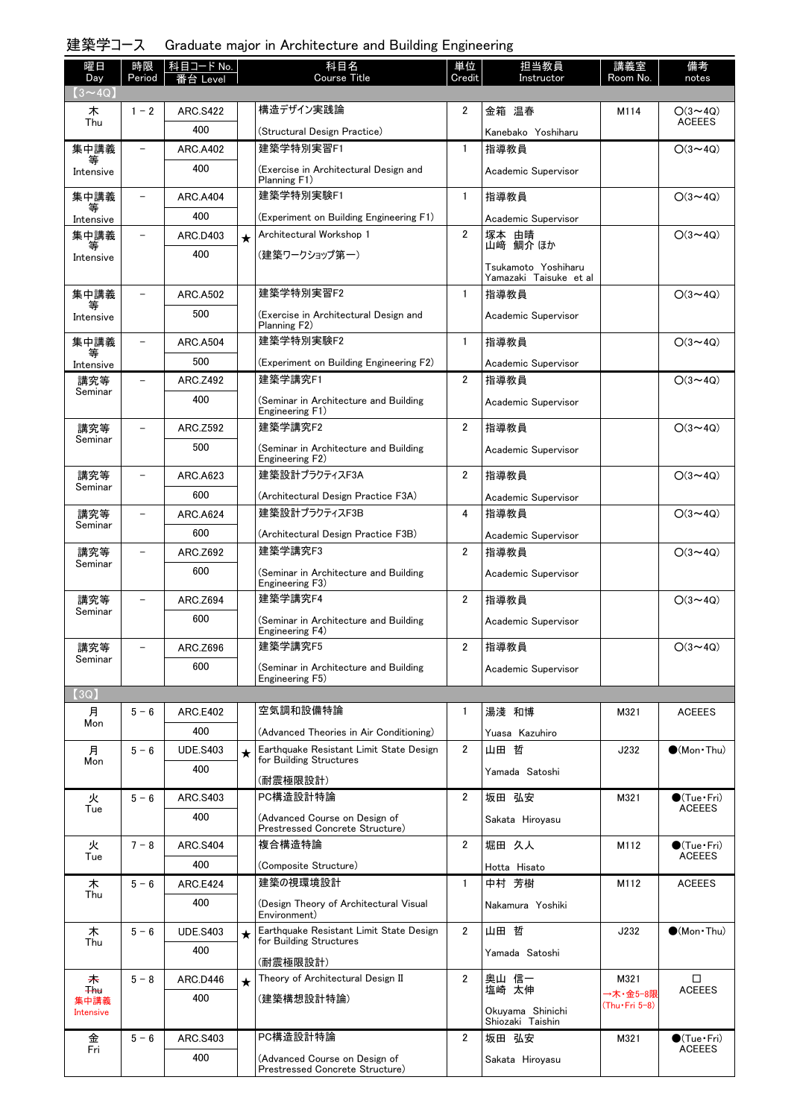# 建築学コース Graduate major in Architecture and Building Engineering

| 曜日                   | 時限                       | 科目コード No.       |         | 科目名                                                                | 単位             | 担当教員                                 | 講義室           | 備考                                   |
|----------------------|--------------------------|-----------------|---------|--------------------------------------------------------------------|----------------|--------------------------------------|---------------|--------------------------------------|
| Day<br>$(3 \sim 4Q)$ | Period                   | 番台 Level        |         | <b>Course Title</b>                                                | Credit         | Instructor                           | Room No.      | notes                                |
| 木                    | $1 - 2$                  | <b>ARC.S422</b> |         | 構造デザイン実践論                                                          | 2              | 金箱 温春                                | M114          | $O(3 \sim 4Q)$                       |
| Thu                  |                          | 400             |         | (Structural Design Practice)                                       |                |                                      |               | ACEEES                               |
| 集中講義                 | ۳                        | <b>ARC.A402</b> |         | 建築学特別実習F1                                                          | $\mathbf{1}$   | Kanebako Yoshiharu<br>指導教員           |               | $O(3 \sim 4Q)$                       |
| 等<br>Intensive       |                          | 400             |         | (Exercise in Architectural Design and                              |                | Academic Supervisor                  |               |                                      |
|                      |                          |                 |         | Planning F1)                                                       |                |                                      |               |                                      |
| 集中講義<br>等            | $\overline{\phantom{0}}$ | <b>ARC.A404</b> |         | 建築学特別実験F1                                                          | $\mathbf{1}$   | 指導教員                                 |               | $O(3 \sim 4Q)$                       |
| Intensive            |                          | 400             |         | (Experiment on Building Engineering F1)                            |                | Academic Supervisor                  |               |                                      |
| 集中講義<br>等            | $\overline{\phantom{a}}$ | ARC.D403        | $\star$ | Architectural Workshop 1                                           | $\overline{2}$ | 塚本 由晴<br>山﨑 鯛介 ほか                    |               | $O(3 \sim 4Q)$                       |
| Intensive            |                          | 400             |         | (建築ワークショップ第一)                                                      |                | Tsukamoto Yoshiharu                  |               |                                      |
|                      |                          |                 |         |                                                                    |                | Yamazaki Taisuke et al               |               |                                      |
| 集中講義                 |                          | <b>ARC.A502</b> |         | 建築学特別実習F2                                                          | $\mathbf{1}$   | 指導教員                                 |               | $O(3 \sim 4Q)$                       |
| Intensive            |                          | 500             |         | (Exercise in Architectural Design and<br>Planning F2)              |                | Academic Supervisor                  |               |                                      |
| 集中講義                 |                          | <b>ARC.A504</b> |         | 建築学特別実験F2                                                          | $\mathbf{1}$   | 指導教員                                 |               | $O(3 \sim 4Q)$                       |
| 等<br>Intensive       |                          | 500             |         | (Experiment on Building Engineering F2)                            |                | Academic Supervisor                  |               |                                      |
| 講究等                  |                          | ARC.Z492        |         | 建築学講究F1                                                            | $\overline{2}$ | 指導教員                                 |               | $O(3 \sim 4Q)$                       |
| Seminar              |                          | 400             |         | (Seminar in Architecture and Building                              |                | Academic Supervisor                  |               |                                      |
|                      |                          |                 |         | Engineering F1)                                                    |                |                                      |               |                                      |
| 講究等<br>Seminar       |                          | ARC.Z592        |         | 建築学講究F2                                                            | $\overline{2}$ | 指導教員                                 |               | $O(3 \sim 4Q)$                       |
|                      |                          | 500             |         | (Seminar in Architecture and Building<br>Engineering F2)           |                | Academic Supervisor                  |               |                                      |
| 講究等                  | ۳                        | ARC.A623        |         | 建築設計プラクティスF3A                                                      | $\overline{2}$ | 指導教員                                 |               | $O(3 \sim 4Q)$                       |
| Seminar              |                          | 600             |         | (Architectural Design Practice F3A)                                |                | Academic Supervisor                  |               |                                      |
| 講究等                  | $\overline{\phantom{0}}$ | <b>ARC.A624</b> |         | 建築設計プラクティスF3B                                                      | 4              | 指導教員                                 |               | $O(3 \sim 4Q)$                       |
| Seminar              |                          | 600             |         | (Architectural Design Practice F3B)                                |                | Academic Supervisor                  |               |                                      |
| 講究等                  |                          | ARC.Z692        |         | 建築学講究F3                                                            | $\overline{2}$ | 指導教員                                 |               | $O(3 \sim 4Q)$                       |
| Seminar              |                          | 600             |         | (Seminar in Architecture and Building                              |                | Academic Supervisor                  |               |                                      |
|                      |                          |                 |         | Engineering F3)                                                    |                |                                      |               |                                      |
| 講究等<br>Seminar       |                          | ARC.Z694        |         | 建築学講究F4                                                            | 2              | 指導教員                                 |               | $O(3 \sim 4Q)$                       |
|                      |                          | 600             |         | (Seminar in Architecture and Building<br>Engineering F4)           |                | Academic Supervisor                  |               |                                      |
| 講究等                  |                          | ARC.Z696        |         | 建築学講究F5                                                            | 2              | 指導教員                                 |               | $O(3 \sim 4Q)$                       |
| Seminar              |                          | 600             |         | (Seminar in Architecture and Building                              |                | Academic Supervisor                  |               |                                      |
| $3Q$ ]               |                          |                 |         | Engineering F5)                                                    |                |                                      |               |                                      |
| 月                    | $5 - 6$                  | <b>ARC.E402</b> |         | 空気調和設備特論                                                           | 1              | 湯淺 和博                                | M321          | <b>ACEEES</b>                        |
| Mon                  |                          | 400             |         | (Advanced Theories in Air Conditioning)                            |                |                                      |               |                                      |
| 月                    | $5 - 6$                  | <b>UDE.S403</b> | $\star$ | Earthquake Resistant Limit State Design                            | $\overline{2}$ | Yuasa Kazuhiro<br>山田 哲               | J232          | $\bigcirc$ (Mon Thu)                 |
| Mon                  |                          | 400             |         | for Building Structures                                            |                | Yamada Satoshi                       |               |                                      |
|                      |                          |                 |         | (耐震極限設計)                                                           |                |                                      |               |                                      |
| 火<br>Tue             | $5 - 6$                  | ARC.S403        |         | PC構造設計特論                                                           | 2              | 坂田 弘安                                | M321          | $\bullet$ (Tue•Fri)<br><b>ACEEES</b> |
|                      |                          | 400             |         | (Advanced Course on Design of<br>Prestressed Concrete Structure)   |                | Sakata Hirovasu                      |               |                                      |
| 火                    | $7 - 8$                  | <b>ARC.S404</b> |         | 複合構造特論                                                             | 2              | 堀田 久人                                | M112          | $\bullet$ (Tue•Fri)                  |
| Tue                  |                          | 400             |         | (Composite Structure)                                              |                | Hotta Hisato                         |               | <b>ACEEES</b>                        |
| 木                    | $5 - 6$                  | <b>ARC.E424</b> |         | 建築の視環境設計                                                           | $\mathbf{1}$   | 中村 芳樹                                | M112          | <b>ACEEES</b>                        |
| Thu                  |                          | 400             |         | (Design Theory of Architectural Visual                             |                | Nakamura Yoshiki                     |               |                                      |
|                      |                          |                 |         | Environment)                                                       |                |                                      |               |                                      |
| 木<br>Thu             | $5 - 6$                  | <b>UDE.S403</b> | $\star$ | Earthquake Resistant Limit State Design<br>for Building Structures | $\overline{2}$ | 山田 哲                                 | J232          | $\bullet$ (Mon Thu)                  |
|                      |                          | 400             |         | (耐震極限設計)                                                           |                | Yamada Satoshi                       |               |                                      |
| 未                    | $5 - 8$                  | ARC.D446        | $\star$ | Theory of Architectural Design II                                  | $\overline{2}$ | 奥山 信一<br>塩崎 太伸                       | M321          | □                                    |
| <b>Thu</b><br>集中講義   |                          | 400             |         | (建築構想設計特論)                                                         |                |                                      | →木・金5−8限      | <b>ACEEES</b>                        |
| <b>Intensive</b>     |                          |                 |         |                                                                    |                | Okuyama Shinichi<br>Shiozaki Taishin | (Thu•Fri 5–8) |                                      |
| 金                    | $5 - 6$                  | ARC.S403        |         | PC構造設計特論                                                           | $\overline{2}$ | 坂田 弘安                                | M321          | $\bullet$ (Tue · Fri)                |
| Fri                  |                          | 400             |         | (Advanced Course on Design of                                      |                | Sakata Hiroyasu                      |               | <b>ACEEES</b>                        |
|                      |                          |                 |         | Prestressed Concrete Structure)                                    |                |                                      |               |                                      |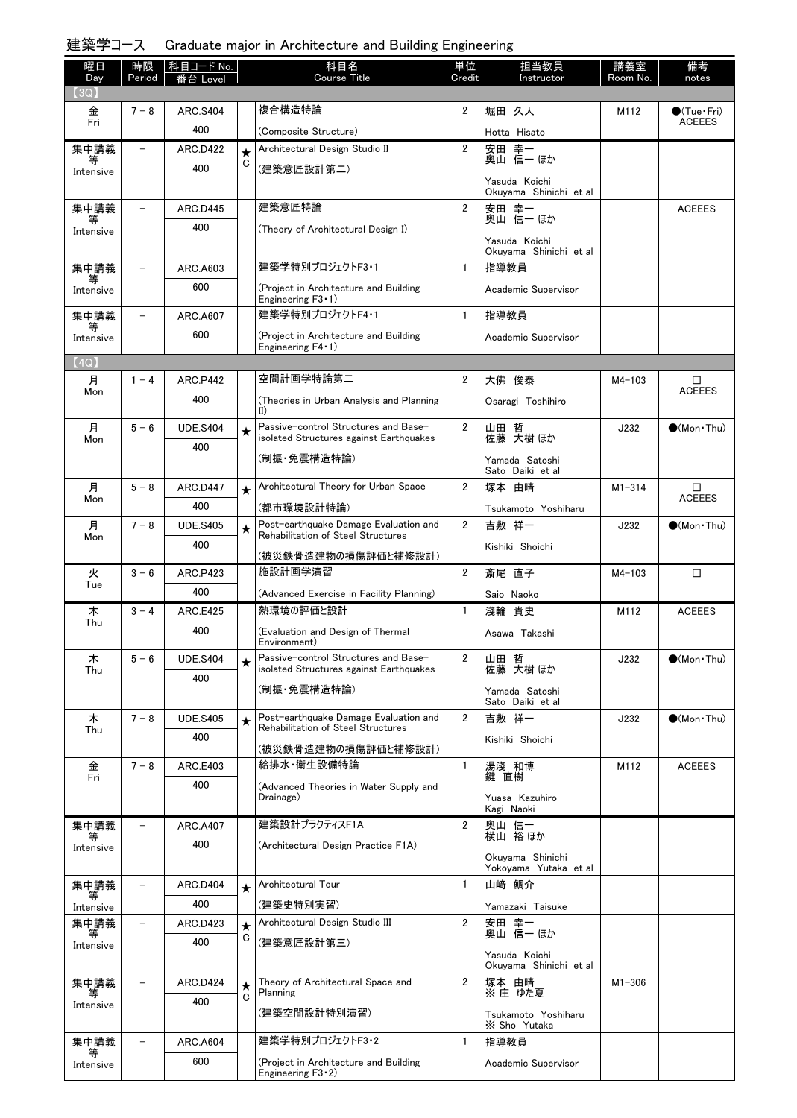# 建築学コース Graduate major in Architecture and Building Engineering

| 曜日             | 時限                       | 科目コード No.              |              | 科目名                                                                             | 単位             | 担当教員                                    | 講義室        | 備考                   |
|----------------|--------------------------|------------------------|--------------|---------------------------------------------------------------------------------|----------------|-----------------------------------------|------------|----------------------|
| Day<br>3Q)     | Period                   |                        |              | <b>Course Title</b>                                                             | Credit         | Instructor                              | Room No.   | notes                |
|                | $7 - 8$                  | <b>ARC.S404</b>        |              | 複合構造特論                                                                          | $\overline{2}$ | 堀田 久人                                   | M112       | $\bullet$ (Tue•Fri)  |
| 金<br>Fri       |                          | 400                    |              |                                                                                 |                |                                         |            | <b>ACEEES</b>        |
|                | $\overline{\phantom{0}}$ |                        |              | (Composite Structure)<br>Architectural Design Studio II                         | $\overline{2}$ | Hotta Hisato<br>安田 幸一                   |            |                      |
| 集中講義<br>等      |                          | <b>ARC.D422</b><br>400 | $\star$<br>С |                                                                                 |                | 奥山 信一 ほか                                |            |                      |
| Intensive      |                          |                        |              | (建築意匠設計第二)                                                                      |                | Yasuda Koichi                           |            |                      |
|                |                          |                        |              |                                                                                 |                | Okuyama Shinichi et al                  |            |                      |
| 集中講義<br>等      |                          | <b>ARC.D445</b>        |              | 建築意匠特論                                                                          | $\overline{2}$ | 安田 幸一<br>奥山 信一 ほか                       |            | <b>ACEEES</b>        |
| Intensive      |                          | 400                    |              | (Theory of Architectural Design I)                                              |                | Yasuda Koichi                           |            |                      |
|                |                          |                        |              |                                                                                 |                | Okuyama Shinichi et al                  |            |                      |
| 集中講義<br>等      | $\overline{\phantom{a}}$ | ARC.A603               |              | 建築学特別プロジェクトF3·1                                                                 | $\mathbf{1}$   | 指導教員                                    |            |                      |
| Intensive      |                          | 600                    |              | (Project in Architecture and Building<br>Engineering $F3 \cdot 1$ )             |                | Academic Supervisor                     |            |                      |
| 集中講義<br>等      | $\overline{\phantom{a}}$ | ARC.A607               |              | 建築学特別プロジェクトF4·1                                                                 | $\mathbf{1}$   | 指導教員                                    |            |                      |
| Intensive      |                          | 600                    |              | (Project in Architecture and Building                                           |                | Academic Supervisor                     |            |                      |
| (4Q)           |                          |                        |              | Engineering $F4 \cdot 1$ )                                                      |                |                                         |            |                      |
| 月              | $1 - 4$                  | <b>ARC.P442</b>        |              | 空間計画学特論第二                                                                       | $\overline{2}$ | 大佛 俊泰                                   | $M4 - 103$ | □                    |
| Mon            |                          | 400                    |              | (Theories in Urban Analysis and Planning                                        |                |                                         |            | <b>ACEEES</b>        |
|                |                          |                        |              | $\mathbf{II}$                                                                   |                | Osaragi Toshihiro                       |            |                      |
| 月<br>Mon       | $5 - 6$                  | <b>UDE.S404</b>        | $\star$      | Passive-control Structures and Base-<br>isolated Structures against Earthquakes | $\overline{2}$ | 山田 哲<br>佐藤 大樹 ほか                        | J232       | $\bigcirc$ (Mon Thu) |
|                |                          | 400                    |              | (制振・免震構造特論)                                                                     |                | Yamada Satoshi<br>Sato Daiki et al      |            |                      |
| 月              | $5 - 8$                  | <b>ARC.D447</b>        | $\star$      | Architectural Theory for Urban Space                                            | $\overline{2}$ | 塚本 由晴                                   | $M1 - 314$ | □                    |
| Mon            |                          | 400                    |              | (都市環境設計特論)                                                                      |                | Tsukamoto Yoshiharu                     |            | <b>ACEEES</b>        |
| 月              | $7 - 8$                  | <b>UDE.S405</b>        | $\star$      | Post-earthquake Damage Evaluation and                                           | $\overline{2}$ | 吉敷 祥一                                   | J232       | $\bigcirc$ (Mon Thu) |
| Mon            |                          | 400                    |              | Rehabilitation of Steel Structures                                              |                | Kishiki Shoichi                         |            |                      |
|                |                          |                        |              | (被災鉄骨造建物の損傷評価と補修設計)                                                             |                |                                         |            |                      |
| 火<br>Tue       | $3 - 6$                  | <b>ARC.P423</b>        |              | 施設計画学演習                                                                         | $\overline{2}$ | 斎尾 直子                                   | $M4 - 103$ | □                    |
|                |                          | 400                    |              | (Advanced Exercise in Facility Planning)                                        |                | Saio Naoko                              |            |                      |
| 木<br>Thu       | $3 - 4$                  | <b>ARC.E425</b>        |              | 熱環境の評価と設計                                                                       | $\mathbf{1}$   | 淺輪 貴史                                   | M112       | <b>ACEEES</b>        |
|                |                          | 400                    |              | (Evaluation and Design of Thermal<br>Environment)                               |                | Asawa Takashi                           |            |                      |
| 木              | $5 - 6$                  | <b>UDE.S404</b>        |              | Passive-control Structures and Base-<br>isolated Structures against Earthquakes | $\overline{2}$ | 山田 哲<br>佐藤 大樹 ほか                        | J232       | $\bullet$ (Mon Thu)  |
| Thu            |                          | 400                    |              |                                                                                 |                |                                         |            |                      |
|                |                          |                        |              | (制振·免震構造特論)                                                                     |                | Yamada Satoshi<br>Sato Daiki et al      |            |                      |
| 木              | $7 - 8$                  | <b>UDE.S405</b>        | $\star$      | Post-earthquake Damage Evaluation and                                           | $\overline{2}$ | 吉敷 祥一                                   | J232       | $\bullet$ (Mon Thu)  |
| Thu            |                          | 400                    |              | Rehabilitation of Steel Structures                                              |                | Kishiki Shoichi                         |            |                      |
|                |                          |                        |              | (被災鉄骨造建物の損傷評価と補修設計)                                                             |                |                                         |            |                      |
| 金<br>Fri       | $7 - 8$                  | <b>ARC.E403</b>        |              | 給排水 衛生設備特論                                                                      | $\mathbf{1}$   | 湯淺和博<br>鍵 直樹                            | M112       | <b>ACEEES</b>        |
|                |                          | 400                    |              | (Advanced Theories in Water Supply and<br>Drainage)                             |                | Yuasa Kazuhiro                          |            |                      |
|                |                          |                        |              |                                                                                 |                | Kagi Naoki                              |            |                      |
| 集中講義<br>等      |                          | ARC.A407               |              | 建築設計プラクティスF1A                                                                   | 2              | 奥山 信一<br>横山 裕ほか                         |            |                      |
| Intensive      |                          | 400                    |              | (Architectural Design Practice F1A)                                             |                | Okuyama Shinichi                        |            |                      |
|                |                          |                        |              |                                                                                 |                | Yokoyama Yutaka et al                   |            |                      |
| 集中講義           |                          | <b>ARC.D404</b>        | $\star$      | Architectural Tour                                                              | $\mathbf{1}$   | 山﨑 鯛介                                   |            |                      |
| 等<br>Intensive |                          | 400                    |              | (建築史特別実習)                                                                       |                | Yamazaki Taisuke                        |            |                      |
| 集中講義           |                          | ARC.D423               | $\star$      | Architectural Design Studio III                                                 | 2              | 安田 幸一<br>奥山 信一 ほか                       |            |                      |
| Intensive      |                          | 400                    | C            | (建築意匠設計第三)                                                                      |                |                                         |            |                      |
|                |                          |                        |              |                                                                                 |                | Yasuda Koichi<br>Okuyama Shinichi et al |            |                      |
| 集中講義           |                          | <b>ARC.D424</b>        | $\star$      | Theory of Architectural Space and                                               | $\overline{2}$ | 塚本 由晴                                   | $M1 - 306$ |                      |
| 等<br>Intensive |                          | 400                    | C            | Planning                                                                        |                | ※ 庄 ゆた夏                                 |            |                      |
|                |                          |                        |              | (建築空間設計特別演習)                                                                    |                | Tsukamoto Yoshiharu<br>X Sho Yutaka     |            |                      |
| 集中講義           |                          | <b>ARC.A604</b>        |              | 建築学特別プロジェクトF3・2                                                                 | $\mathbf{1}$   | 指導教員                                    |            |                      |
| 等<br>Intensive |                          | 600                    |              | (Project in Architecture and Building<br>Engineering $F3 \cdot 2$ )             |                | Academic Supervisor                     |            |                      |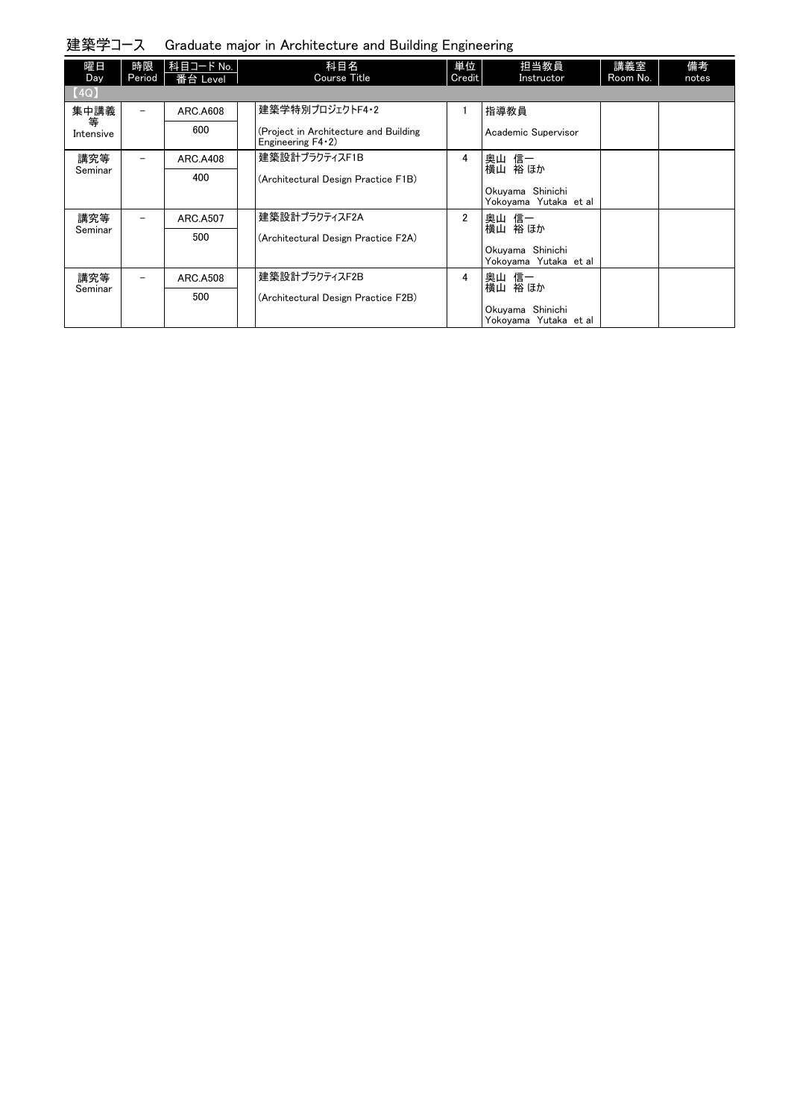| 建築学コース Graduate major in Architecture and Building Engineering |  |  |  |  |
|----------------------------------------------------------------|--|--|--|--|
|                                                                |  |  |  |  |

| 曜日<br>Day      | 時限<br>Period             | 科目コード No.<br>番台 Level | 科目名<br>Course Title                                               | 単位<br>Credit   | 担当教員<br>Instructor                        | 講義室<br>Room No. | 備考<br>notes |
|----------------|--------------------------|-----------------------|-------------------------------------------------------------------|----------------|-------------------------------------------|-----------------|-------------|
| [4Q]           |                          |                       |                                                                   |                |                                           |                 |             |
| 集中講義           | $\overline{\phantom{m}}$ | <b>ARC.A608</b>       | 建築学特別プロジェクトF4・2                                                   |                | 指導教員                                      |                 |             |
| 等<br>Intensive |                          | 600                   | (Project in Architecture and Building<br>Engineering $F4 \cdot 2$ |                | Academic Supervisor                       |                 |             |
| 講究等            |                          | <b>ARC.A408</b>       | 建築設計プラクティスF1B                                                     | 4              | 奥山 信一<br>横山 裕ほか                           |                 |             |
| Seminar        |                          | 400                   | (Architectural Design Practice F1B)                               |                |                                           |                 |             |
|                |                          |                       |                                                                   |                | Okuyama Shinichi<br>Yokovama Yutaka et al |                 |             |
| 講究等            | $\qquad \qquad -$        | ARC.A507              | 建築設計プラクティスF2A                                                     | $\overline{2}$ | 奥山 信一                                     |                 |             |
| Seminar        |                          | 500                   | (Architectural Design Practice F2A)                               |                | 横山 裕ほか                                    |                 |             |
|                |                          |                       |                                                                   |                | Okuyama Shinichi<br>Yokoyama Yutaka et al |                 |             |
| 講究等            | $\equiv$                 | <b>ARC, A508</b>      | 建築設計プラクティスF2B                                                     | 4              | 奥山 信一                                     |                 |             |
| Seminar        |                          | 500                   | (Architectural Design Practice F2B)                               |                | 横山 裕 ほか                                   |                 |             |
|                |                          |                       |                                                                   |                | Okuyama Shinichi<br>Yokoyama Yutaka et al |                 |             |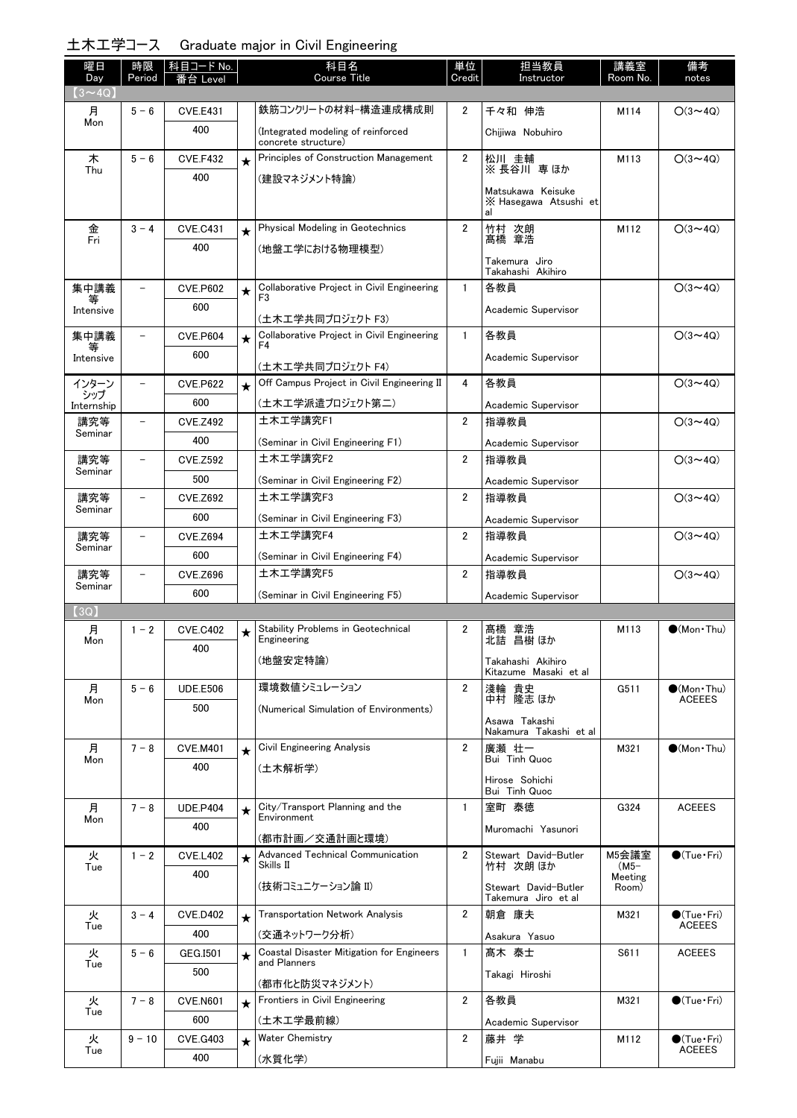### 土木工学コース Graduate major in Civil Engineering

| 曜日                   | 時限                       | │ 科目コード No.            |            | 科目名<br>Course Title                                             | 単位             | 担当教員                                             | 講義室              | 備考                                      |
|----------------------|--------------------------|------------------------|------------|-----------------------------------------------------------------|----------------|--------------------------------------------------|------------------|-----------------------------------------|
| Day<br>$(3 \sim 4Q)$ | Period                   | Leve                   |            |                                                                 | Credit         | Instructor                                       | Room No.         | notes                                   |
| 月                    | $5 - 6$                  | <b>CVE.E431</b>        |            | 鉄筋コンクリートの材料-構造連成構成則                                             | 2              | 千々和 伸浩                                           | M114             | $O(3 \sim 4Q)$                          |
| Mon                  |                          | 400                    |            | (Integrated modeling of reinforced<br>concrete structure)       |                | Chijiwa Nobuhiro                                 |                  |                                         |
| 木                    | $5 - 6$                  | <b>CVE.F432</b>        | $\star$    | Principles of Construction Management                           | $\overline{2}$ | 松川 圭輔                                            | M113             | $O(3 \sim 4Q)$                          |
| Thu                  |                          | 400                    |            | (建設マネジメント特論)                                                    |                | ※長谷川専ほか                                          |                  |                                         |
|                      |                          |                        |            |                                                                 |                | Matsukawa Keisuke<br>X Hasegawa Atsushi et<br>al |                  |                                         |
| 金<br>Fri             | $3 - 4$                  | <b>CVE.C431</b>        | $\star$    | Physical Modeling in Geotechnics                                | $\overline{2}$ | 竹村 次朗<br>髙橋 章浩                                   | M112             | $O(3 \sim 4Q)$                          |
|                      |                          | 400                    |            | (地盤エ学における物理模型)                                                  |                | Takemura Jiro                                    |                  |                                         |
|                      |                          |                        |            |                                                                 |                | Takahashi Akihiro                                |                  |                                         |
| 集中講義                 | $\overline{\phantom{0}}$ | <b>CVE.P602</b>        | $\bigstar$ | Collaborative Project in Civil Engineering<br>F <sub>3</sub>    | $\mathbf{1}$   | 各教員                                              |                  | $O(3 \sim 4Q)$                          |
| Intensive            |                          | 600                    |            | (土木工学共同プロジェクト F3)                                               |                | Academic Supervisor                              |                  |                                         |
| 集中講義                 | $\overline{\phantom{0}}$ | <b>CVE.P604</b>        | $\star$    | Collaborative Project in Civil Engineering                      | $\mathbf{1}$   | 各教員                                              |                  | $O(3 \sim 4Q)$                          |
| 等<br>Intensive       |                          | 600                    |            | F <sub>4</sub>                                                  |                | Academic Supervisor                              |                  |                                         |
| インターン                |                          | <b>CVE.P622</b>        | $\star$    | (土木工学共同プロジェクト F4)<br>Off Campus Project in Civil Engineering II | 4              | 各教員                                              |                  | $O(3 \sim 4Q)$                          |
| シップ                  |                          | 600                    |            | (土木工学派遣プロジェクト第二)                                                |                | Academic Supervisor                              |                  |                                         |
| Internship<br>講究等    |                          | <b>CVE.Z492</b>        |            | 土木工学講究F1                                                        | $\overline{2}$ | 指導教員                                             |                  | $O(3 \sim 4Q)$                          |
| Seminar              |                          | 400                    |            | (Seminar in Civil Engineering F1)                               |                | Academic Supervisor                              |                  |                                         |
| 講究等                  | $\overline{\phantom{0}}$ | <b>CVE.Z592</b>        |            | 土木工学講究F2                                                        | $\overline{2}$ | 指導教員                                             |                  | $O(3 \sim 4Q)$                          |
| Seminar              |                          | 500                    |            | (Seminar in Civil Engineering F2)                               |                | Academic Supervisor                              |                  |                                         |
| 講究等                  | $\overline{\phantom{a}}$ | <b>CVE.Z692</b>        |            | 土木工学講究F3                                                        | $\overline{2}$ | 指導教員                                             |                  | $O(3 \sim 4Q)$                          |
| Seminar              |                          | 600                    |            | (Seminar in Civil Engineering F3)                               |                | Academic Supervisor                              |                  |                                         |
| 講究等                  | $\qquad \qquad -$        | <b>CVE.Z694</b>        |            | 土木工学講究F4                                                        | $\overline{2}$ | 指導教員                                             |                  | $O(3 \sim 4Q)$                          |
| Seminar              |                          | 600                    |            | (Seminar in Civil Engineering F4)                               |                | Academic Supervisor                              |                  |                                         |
| 講究等                  | $\overline{\phantom{0}}$ | <b>CVE.Z696</b>        |            | 土木工学講究F5                                                        | $\overline{2}$ | 指導教員                                             |                  | $O(3 \sim 4Q)$                          |
| Seminar              |                          | 600                    |            | (Seminar in Civil Engineering F5)                               |                | Academic Supervisor                              |                  |                                         |
| (3Q)                 |                          |                        |            |                                                                 |                |                                                  |                  |                                         |
| 月<br>Mon             | $1 - 2$                  | <b>CVE.C402</b>        | ★          | <b>Stability Problems in Geotechnical</b><br>Engineering        | 2              | 髙橋 章浩<br>北詰 昌樹 ほか                                | M113             | $\bigcirc$ (Mon Thu)                    |
|                      |                          | 400                    |            | (地盤安定特論)                                                        |                | Takahashi Akihiro                                |                  |                                         |
|                      |                          |                        |            | 環境数値シミュレーション                                                    |                | Kitazume Masaki et al                            |                  |                                         |
| 月<br>Mon             | $5 - 6$                  | <b>UDE.E506</b><br>500 |            |                                                                 | $\overline{2}$ | 淺輪 貴史<br>中村 隆志 ほか                                | G511             | $\bullet$ (Mon Thu)<br><b>ACEEES</b>    |
|                      |                          |                        |            | (Numerical Simulation of Environments)                          |                | Asawa Takashi                                    |                  |                                         |
|                      | $7 - 8$                  |                        |            | Civil Engineering Analysis                                      | $\overline{2}$ | Nakamura Takashi et al<br>廣瀬 壮一                  | M321             | $\bullet$ (Mon $\cdot$ Thu)             |
| 月<br>Mon             |                          | <b>CVE.M401</b><br>400 | $\star$    | (土木解析学)                                                         |                | Bui Tinh Quoc                                    |                  |                                         |
|                      |                          |                        |            |                                                                 |                | Hirose Sohichi                                   |                  |                                         |
| 月                    | $7 - 8$                  | <b>UDE.P404</b>        |            | City/Transport Planning and the                                 | $\mathbf{1}$   | Bui Tinh Quoc<br>宰町 泰徳                           | G324             | <b>ACEEES</b>                           |
| Mon                  |                          | 400                    | $\star$    | Environment                                                     |                | Muromachi Yasunori                               |                  |                                         |
|                      |                          |                        |            | (都市計画/交通計画と環境)                                                  |                |                                                  |                  |                                         |
| 火<br>Tue             | $1 - 2$                  | <b>CVE.L402</b>        | $\star$    | Advanced Technical Communication<br>Skills II                   | $\overline{2}$ | Stewart David-Butler<br>竹村 次朗 ほか                 | M5会議室<br>$(M5-$  | $\bigcirc$ (Tue · Fri)                  |
|                      |                          | 400                    |            | (技術コミュニケーション論 II)                                               |                | Stewart David-Butler                             | Meeting<br>Room) |                                         |
|                      |                          |                        |            |                                                                 |                | Takemura Jiro et al                              |                  |                                         |
| 火<br>Tue             | $3 - 4$                  | <b>CVE.D402</b><br>400 | $\star$    | <b>Transportation Network Analysis</b>                          | $\overline{2}$ | 朝倉 康夫                                            | M321             | $\bullet$ (Tue · Fri)<br><b>ACEEES</b>  |
| 火                    | $5 - 6$                  | GEG.I501               |            | (交通ネットワーク分析)<br>Coastal Disaster Mitigation for Engineers       | $\mathbf{1}$   | Asakura Yasuo<br>髙木 泰士                           | S611             | <b>ACEEES</b>                           |
| Tue                  |                          | 500                    | $\star$    | and Planners                                                    |                | Takagi Hiroshi                                   |                  |                                         |
|                      |                          |                        |            | (都市化と防災マネジメント)                                                  |                |                                                  |                  |                                         |
| 火<br>Tue             | $7 - 8$                  | <b>CVE.N601</b>        | $\star$    | Frontiers in Civil Engineering                                  | $\overline{2}$ | 各教員                                              | M321             | $\bigcirc$ (Tue · Fri)                  |
|                      |                          | 600                    |            | (土木工学最前線)                                                       |                | Academic Supervisor                              |                  |                                         |
| 火<br>Tue             | $9 - 10$                 | <b>CVE.G403</b>        | $\star$    | <b>Water Chemistry</b>                                          | $\overline{2}$ | 藤井 学                                             | M112             | $\bigcirc$ (Tue · Fri)<br><b>ACEEES</b> |
|                      |                          | 400                    |            | (水質化学)                                                          |                | Fujii Manabu                                     |                  |                                         |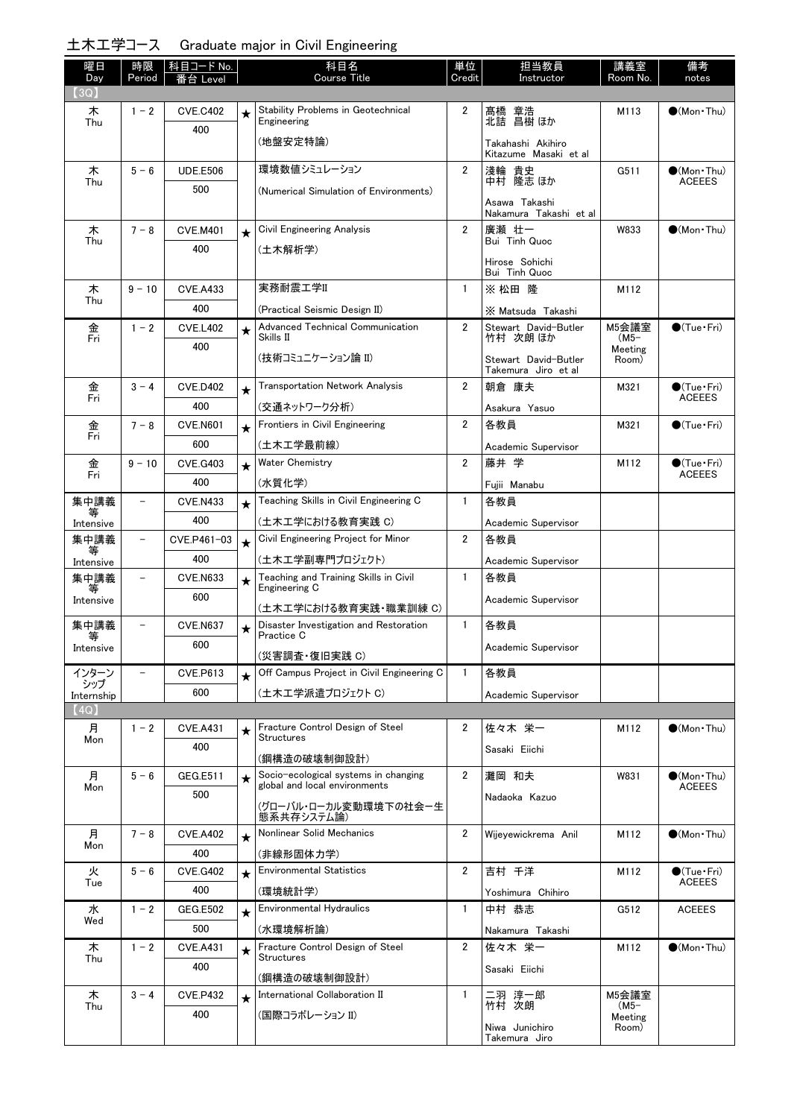### 土木工学コース Graduate major in Civil Engineering

| 曜日<br>Day         | 時限<br>Period             | │科目コード No.             |         | 科目名<br><b>Course Title</b>                              | 単位<br>Credit   | 担当教員<br>Instructor                         | 講義室<br>Room No.  | 備考<br>notes                                  |
|-------------------|--------------------------|------------------------|---------|---------------------------------------------------------|----------------|--------------------------------------------|------------------|----------------------------------------------|
| (3Q)              |                          | 番台<br>Level            |         |                                                         |                |                                            |                  |                                              |
| 木                 | $1 - 2$                  | <b>CVE.C402</b>        | ★       | Stability Problems in Geotechnical<br>Engineering       | 2              | 髙橋 章浩<br>北詰 昌樹ほか                           | M113             | $\bigcirc$ (Mon Thu)                         |
| Thu               |                          | 400                    |         | (地盤安定特論)                                                |                |                                            |                  |                                              |
|                   |                          |                        |         |                                                         |                | Takahashi Akihiro<br>Kitazume Masaki et al |                  |                                              |
| 木<br>Thu          | $5 - 6$                  | <b>UDE.E506</b>        |         | 環境数値シミュレーション                                            | $\overline{2}$ | 淺輪 貴史<br>隆志 ほか<br>中村                       | G511             | $\bullet$ (Mon $\cdot$ Thu)<br><b>ACEEES</b> |
|                   |                          | 500                    |         | (Numerical Simulation of Environments)                  |                | Asawa Takashi                              |                  |                                              |
|                   |                          |                        |         |                                                         |                | Nakamura Takashi et al                     |                  |                                              |
| 木<br>Thu          | $7 - 8$                  | <b>CVE.M401</b>        | $\star$ | Civil Engineering Analysis                              | $\overline{2}$ | 廣瀬 壮一<br>Bui Tinh Quoc                     | W833             | $\bigcirc$ (Mon Thu)                         |
|                   |                          | 400                    |         | (土木解析学)                                                 |                | Hirose Sohichi                             |                  |                                              |
|                   |                          |                        |         |                                                         |                | Bui Tinh Quoc                              |                  |                                              |
| 木<br>Thu          | $9 - 10$                 | <b>CVE.A433</b>        |         | 実務耐震工学II                                                | 1              | ※ 松田 隆                                     | M112             |                                              |
|                   |                          | 400                    |         | (Practical Seismic Design II)                           |                | X Matsuda Takashi                          |                  |                                              |
| 金<br>Fri          | $1 - 2$                  | <b>CVE.L402</b>        | $\star$ | Advanced Technical Communication<br>Skills II           | 2              | Stewart David-Butler<br>竹村 次朗 ほか           | M5会議室<br>$(M5-$  | $\bullet$ (Tue•Fri)                          |
|                   |                          | 400                    |         | (技術コミュニケーション論 II)                                       |                | Stewart David-Butler                       | Meeting<br>Room) |                                              |
|                   |                          |                        |         |                                                         |                | Takemura Jiro et al                        |                  |                                              |
| 金<br>Fri          | $3 - 4$                  | <b>CVE.D402</b>        | ★       | <b>Transportation Network Analysis</b>                  | $\overline{2}$ | 朝倉 康夫                                      | M321             | $\bullet$ (Tue•Fri)<br><b>ACEEES</b>         |
|                   |                          | 400                    |         | (交通ネットワーク分析)                                            |                | Asakura Yasuo                              |                  |                                              |
| 金<br>Fri          | $7 - 8$                  | <b>CVE.N601</b>        | $\star$ | Frontiers in Civil Engineering                          | $\overline{2}$ | 各教員                                        | M321             | $\bullet$ (Tue•Fri)                          |
|                   |                          | 600                    |         | (土木工学最前線)                                               |                | Academic Supervisor                        |                  |                                              |
| 金<br>Fri          | $9 - 10$                 | <b>CVE.G403</b>        | $\star$ | <b>Water Chemistry</b>                                  | 2              | 藤井 学                                       | M112             | $\bullet$ (Tue•Fri)<br><b>ACEEES</b>         |
| 集中講義              | $\overline{\phantom{0}}$ | 400                    |         | (水質化学)<br>Teaching Skills in Civil Engineering C        | $\mathbf{1}$   | Fujii Manabu<br>各教員                        |                  |                                              |
|                   |                          | <b>CVE.N433</b><br>400 | $\star$ |                                                         |                |                                            |                  |                                              |
| Intensive<br>集中講義 | $\qquad \qquad -$        | CVE.P461-03            |         | (土木工学における教育実践 C)<br>Civil Engineering Project for Minor | $\overline{2}$ | Academic Supervisor<br>各教員                 |                  |                                              |
| 等                 |                          | 400                    | $\star$ | (土木工学副専門プロジェクト)                                         |                |                                            |                  |                                              |
| Intensive<br>集中講義 | $\overline{\phantom{0}}$ | <b>CVE.N633</b>        |         | Teaching and Training Skills in Civil                   | 1              | Academic Supervisor<br>各教員                 |                  |                                              |
| 等<br>Intensive    |                          | 600                    | $\star$ | Engineering C                                           |                | Academic Supervisor                        |                  |                                              |
|                   |                          |                        |         | (土木工学における教育実践·職業訓練 C)                                   |                |                                            |                  |                                              |
| 集中講義<br>等         | $\overline{\phantom{0}}$ | <b>CVE.N637</b>        | ★       | Disaster Investigation and Restoration<br>Practice C    | $\mathbf{1}$   | 各教員                                        |                  |                                              |
| Intensive         |                          | 600                    |         | (災害調査・復旧実践 C)                                           |                | Academic Supervisor                        |                  |                                              |
| インターン             |                          | <b>CVE.P613</b>        | $\star$ | Off Campus Project in Civil Engineering C               | $\mathbf{1}$   | 各教員                                        |                  |                                              |
| シップ<br>Internship |                          | 600                    |         | (土木工学派遣プロジェクト C)                                        |                | Academic Supervisor                        |                  |                                              |
| (4Q)              |                          |                        |         |                                                         |                |                                            |                  |                                              |
| 月<br>Mon          | $1 - 2$                  | <b>CVE.A431</b>        | ★       | Fracture Control Design of Steel<br><b>Structures</b>   | $\overline{2}$ | 佐々木 栄一                                     | M112             | $\bullet$ (Mon Thu)                          |
|                   |                          | 400                    |         | (鋼構造の破壊制御設計)                                            |                | Sasaki Eiichi                              |                  |                                              |
| 月                 | $5 - 6$                  | <b>GEG.E511</b>        | $\star$ | Socio-ecological systems in changing                    | $\overline{2}$ | 灘岡 和夫                                      | W831             | $\bullet$ (Mon · Thu)                        |
| Mon               |                          | 500                    |         | global and local environments                           |                | Nadaoka Kazuo                              |                  | <b>ACEEES</b>                                |
|                   |                          |                        |         | (グローバル・ローカル変動環境下の社会ー生<br>態系共存システム論)                     |                |                                            |                  |                                              |
| 月                 | $7 - 8$                  | <b>CVE.A402</b>        | $\star$ | Nonlinear Solid Mechanics                               | $\overline{2}$ | Wijeyewickrema Anil                        | M112             | $\bigcirc$ (Mon Thu)                         |
| Mon               |                          | 400                    |         | (非線形固体力学)                                               |                |                                            |                  |                                              |
| 火                 | $5 - 6$                  | <b>CVE.G402</b>        | $\star$ | <b>Environmental Statistics</b>                         | $\overline{2}$ | 吉村 千洋                                      | M112             | $\bigcirc$ (Tue · Fri)<br><b>ACEEES</b>      |
| Tue               |                          | 400                    |         | (環境統計学)                                                 |                | Yoshimura Chihiro                          |                  |                                              |
| 水<br>Wed          | $1 - 2$                  | <b>GEG.E502</b>        | $\star$ | <b>Environmental Hydraulics</b>                         | $\mathbf{1}$   | 中村 恭志                                      | G512             | <b>ACEEES</b>                                |
|                   |                          | 500                    |         | (水環境解析論)                                                |                | Nakamura Takashi                           |                  |                                              |
| 木<br>Thu          | $1 - 2$                  | <b>CVE.A431</b>        | $\star$ | Fracture Control Design of Steel<br><b>Structures</b>   | $\overline{2}$ | 佐々木 栄一                                     | M112             | $\bullet$ (Mon Thu)                          |
|                   |                          | 400                    |         | (鋼構造の破壊制御設計)                                            |                | Sasaki Eiichi                              |                  |                                              |
| 木                 | $3 - 4$                  | <b>CVE.P432</b>        | $\star$ | International Collaboration II                          | 1              | 二羽 淳一郎                                     | M5会議室            |                                              |
| Thu               |                          | 400                    |         | (国際コラボレーション II)                                         |                | 竹村 次朗                                      | (M5–<br>Meeting  |                                              |
|                   |                          |                        |         |                                                         |                | Niwa Junichiro<br>Takemura Jiro            | Room)            |                                              |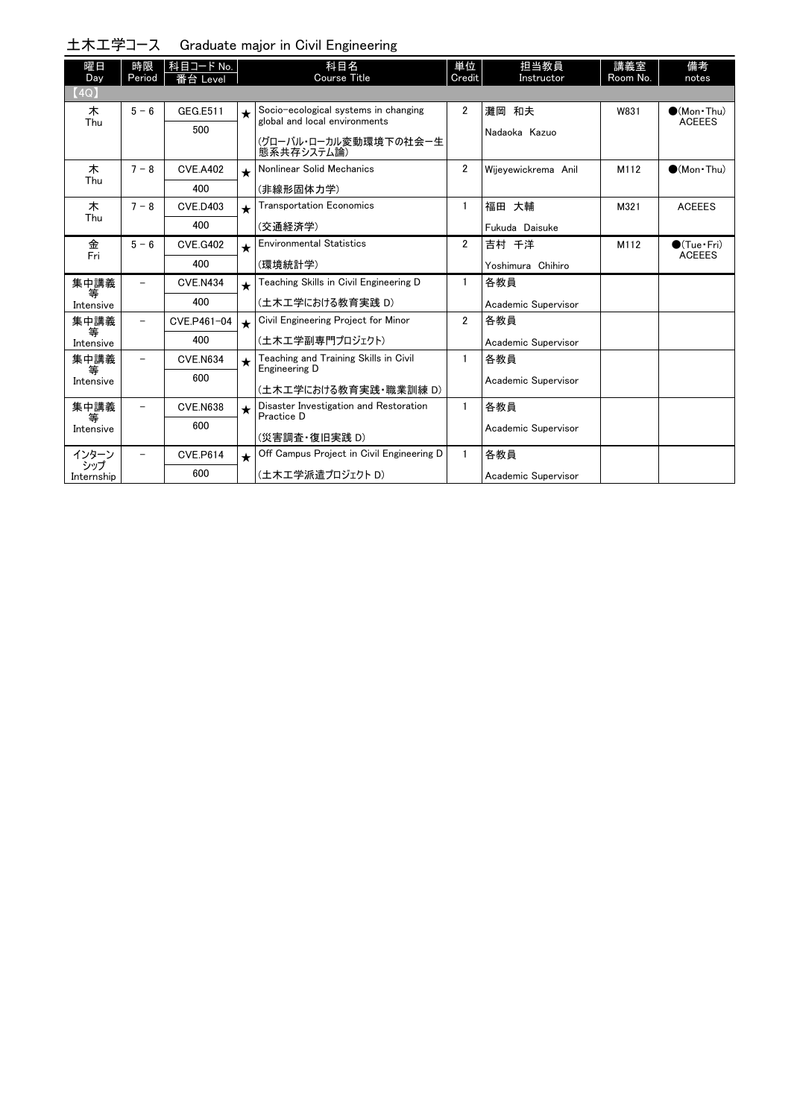|                   |                          |                       |            | 土木工学コース Graduate major in Civil Engineering                           |                |                     |                 |                                      |
|-------------------|--------------------------|-----------------------|------------|-----------------------------------------------------------------------|----------------|---------------------|-----------------|--------------------------------------|
| 曜日<br>Day         | 時限<br>Period             | 科目コード No.<br>番台 Level |            | 科目名<br>Course Title                                                   | 単位<br>Credit   | 担当教員<br>Instructor  | 講義室<br>Room No. | 備考<br>notes                          |
| (4Q)              |                          |                       |            |                                                                       |                |                     |                 |                                      |
| 木<br>Thu          | $5 - 6$                  | GEG.E511              | $\bigstar$ | Socio-ecological systems in changing<br>global and local environments | $\overline{2}$ | 灘岡 和夫               | W831            | $\bullet$ (Mon•Thu)<br><b>ACEEES</b> |
|                   |                          | 500                   |            | (グローバル・ローカル変動環境下の社会ー生<br>態系共存システム論)                                   |                | Nadaoka Kazuo       |                 |                                      |
| 木<br>Thu          | $7 - 8$                  | <b>CVE.A402</b>       | $\star$    | Nonlinear Solid Mechanics                                             | $\overline{2}$ | Wijevewickrema Anil | M112            | $(Mon$ Thu)                          |
|                   |                          | 400                   |            | (非線形固体力学)                                                             |                |                     |                 |                                      |
| 木<br>Thu          | $7 - 8$                  | <b>CVE.D403</b>       | $\star$    | <b>Transportation Economics</b>                                       | 1              | 福田 大輔               | M321            | <b>ACEEES</b>                        |
|                   |                          | 400                   |            | (交通経済学)                                                               |                | Fukuda Daisuke      |                 |                                      |
| 金<br>Fri          | $5 - 6$                  | <b>CVE.G402</b>       | $\star$    | <b>Environmental Statistics</b>                                       | $\overline{2}$ | 吉村 千洋               | M112            | ●(Tue·Fri)<br><b>ACEEES</b>          |
|                   |                          | 400                   |            | (環境統計学)                                                               |                | Yoshimura Chihiro   |                 |                                      |
| 集中講義<br>等         | $\overline{\phantom{0}}$ | <b>CVE.N434</b>       | $\star$    | Teaching Skills in Civil Engineering D                                | 1              | 各教員                 |                 |                                      |
| Intensive         |                          | 400                   |            | (土木工学における教育実践 D)                                                      |                | Academic Supervisor |                 |                                      |
| 集中講義<br>等         |                          | CVE.P461-04           | $\star$    | Civil Engineering Project for Minor                                   | $\overline{2}$ | 各教員                 |                 |                                      |
| Intensive         |                          | 400                   |            | (土木工学副専門プロジェクト)                                                       |                | Academic Supervisor |                 |                                      |
| 集中講義<br>等         |                          | <b>CVE.N634</b>       | $\star$    | Teaching and Training Skills in Civil<br>Engineering D                | $\mathbf{1}$   | 各教員                 |                 |                                      |
| Intensive         |                          | 600                   |            | (土木工学における教育実践・職業訓練 D)                                                 |                | Academic Supervisor |                 |                                      |
| 集中講義<br>等         |                          | <b>CVE.N638</b>       | $\star$    | Disaster Investigation and Restoration<br>Practice D                  | $\mathbf{1}$   | 各教員                 |                 |                                      |
| Intensive         |                          | 600                   |            | (災害調査・復旧実践 D)                                                         |                | Academic Supervisor |                 |                                      |
| インターン             |                          | <b>CVE.P614</b>       | $\star$    | Off Campus Project in Civil Engineering D                             | 1              | 各教員                 |                 |                                      |
| シップ<br>Internship |                          | 600                   |            | (土木工学派遣プロジェクト D)                                                      |                | Academic Supervisor |                 |                                      |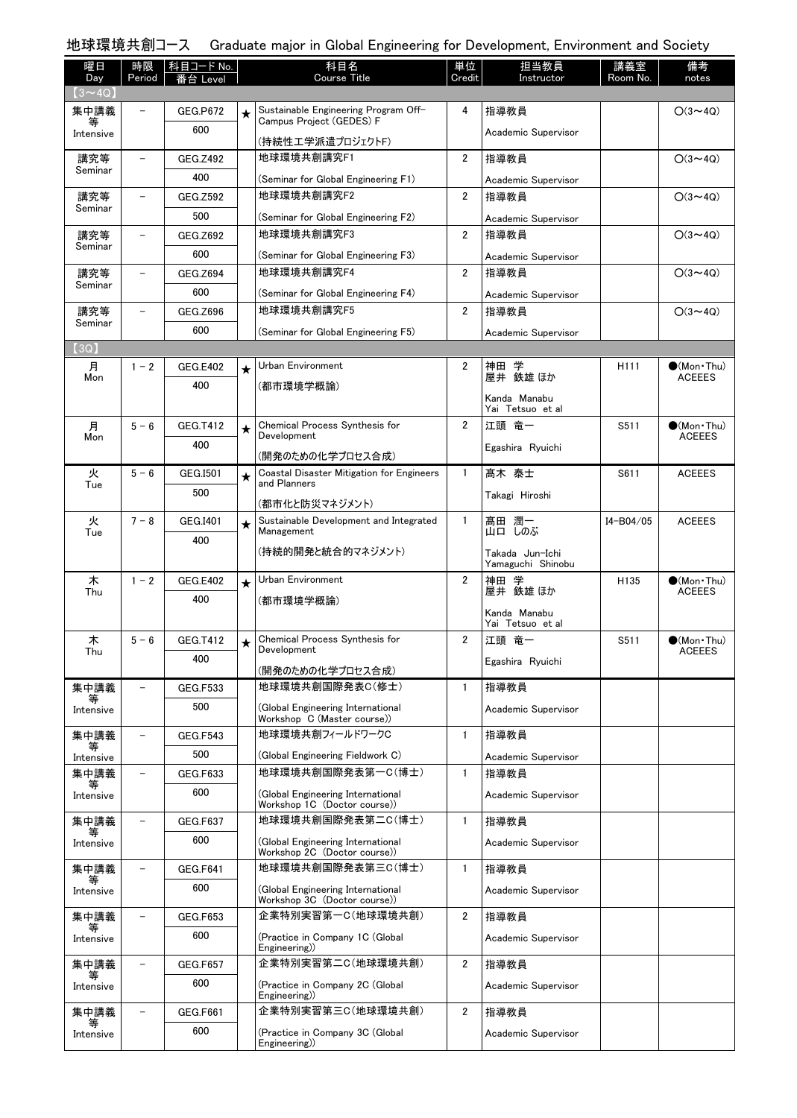| 曜日<br>Day      | 時限<br>Period             | 科目コード No.<br>番台 Level |            | 科目名<br><b>Course Title</b>                                        | 単位<br>Credit   | 担当教員<br>Instructor                   | 講義室<br>Room No.  | 備考<br>notes                          |
|----------------|--------------------------|-----------------------|------------|-------------------------------------------------------------------|----------------|--------------------------------------|------------------|--------------------------------------|
| $(3 \sim 4Q)$  |                          |                       |            |                                                                   |                |                                      |                  |                                      |
| 集中講義<br>等      | $\overline{\phantom{0}}$ | <b>GEG.P672</b>       | $\star$    | Sustainable Engineering Program Off-<br>Campus Project (GEDES) F  | 4              | 指導教員                                 |                  | $O(3 \sim 4Q)$                       |
| Intensive      |                          | 600                   |            | (持続性エ学派遣プロジェクトF)                                                  |                | Academic Supervisor                  |                  |                                      |
| 講究等<br>Seminar | $\qquad \qquad -$        | GEG.Z492              |            | 地球環境共創講究F1                                                        | $\overline{2}$ | 指導教員                                 |                  | $O(3 \sim 4Q)$                       |
|                |                          | 400                   |            | (Seminar for Global Engineering F1)                               |                | Academic Supervisor                  |                  |                                      |
| 講究等<br>Seminar | $\qquad \qquad -$        | <b>GEG.Z592</b>       |            | 地球環境共創講究F2                                                        | $\overline{2}$ | 指導教員                                 |                  | $O(3 \sim 4Q)$                       |
|                |                          | 500                   |            | (Seminar for Global Engineering F2)                               |                | Academic Supervisor                  |                  |                                      |
| 講究等<br>Seminar | $\qquad \qquad -$        | GEG.Z692              |            | 地球環境共創講究F3                                                        | $\overline{2}$ | 指導教員                                 |                  | $O(3 \sim 4Q)$                       |
|                |                          | 600                   |            | (Seminar for Global Engineering F3)                               |                | Academic Supervisor                  |                  |                                      |
| 講究等<br>Seminar | $\equiv$                 | GEG.Z694              |            | 地球環境共創講究F4                                                        | $\overline{2}$ | 指導教員                                 |                  | $O(3 \sim 4Q)$                       |
|                |                          | 600                   |            | (Seminar for Global Engineering F4)                               |                | Academic Supervisor                  |                  |                                      |
| 講究等<br>Seminar | $\overline{\phantom{0}}$ | GEG.Z696              |            | 地球環境共創講究F5                                                        | $\overline{2}$ | 指導教員                                 |                  | $O(3 \sim 4Q)$                       |
|                |                          | 600                   |            | (Seminar for Global Engineering F5)                               |                | Academic Supervisor                  |                  |                                      |
| [3Q]           | $1 - 2$                  | <b>GEG.E402</b>       |            | Urban Environment                                                 | 2              |                                      | H <sub>111</sub> | $(Mon\cdot Thu)$                     |
| 月<br>Mon       |                          | 400                   | $\star$    | (都市環境学概論)                                                         |                | 神田 学<br>屋井 鉄雄 ほか                     |                  | <b>ACEEES</b>                        |
|                |                          |                       |            |                                                                   |                | Kanda Manabu                         |                  |                                      |
|                |                          |                       |            |                                                                   |                | Yai Tetsuo et al                     |                  |                                      |
| 月<br>Mon       | $5 - 6$                  | GEG.T412              | $\bigstar$ | Chemical Process Synthesis for<br>Development                     | $\overline{2}$ | 江頭 竜一                                | S511             | $\bullet$ (Mon Thu)<br><b>ACEEES</b> |
|                |                          | 400                   |            | (開発のための化学プロセス合成)                                                  |                | Egashira Ryuichi                     |                  |                                      |
| 火              | $5 - 6$                  | GEG.I501              | $\star$    | Coastal Disaster Mitigation for Engineers<br>and Planners         | $\mathbf{1}$   | 髙木 泰士                                | S611             | <b>ACEEES</b>                        |
| Tue            |                          | 500                   |            |                                                                   |                | Takagi Hiroshi                       |                  |                                      |
| 火              | $7 - 8$                  | GEG.I401              |            | (都市化と防災マネジメント)<br>Sustainable Development and Integrated          | 1              | 髙田 潤一                                | $I4 - B04/05$    | <b>ACEEES</b>                        |
| Tue            |                          | 400                   | $\star$    | Management                                                        |                | 山口 しのぶ                               |                  |                                      |
|                |                          |                       |            | (持続的開発と統合的マネジメント)                                                 |                | Takada Jun-Ichi<br>Yamaguchi Shinobu |                  |                                      |
| 木              | $1 - 2$                  | <b>GEG.E402</b>       | $\star$    | Urban Environment                                                 | $\overline{2}$ | 神田 学                                 | H <sub>135</sub> | $(Mon$ Thu)                          |
| Thu            |                          | 400                   |            | (都市環境学概論)                                                         |                | 屋井 鉄雄 ほか                             |                  | <b>ACEEES</b>                        |
|                |                          |                       |            |                                                                   |                | Kanda Manabu<br>Yai Tetsuo et al     |                  |                                      |
| 木              | $5 - 6$                  | GEG.T412              | ★          | Chemical Process Synthesis for                                    | 2              | 江頭 竜一                                | S511             | $\bullet$ (Mon · Thu)                |
| Thu            |                          | 400                   |            | <b>Development</b>                                                |                | Egashira Ryuichi                     |                  | <b>ACEEES</b>                        |
|                |                          |                       |            | (開発のための化学プロセス合成)<br>地球環境共創国際発表C(修士)                               |                |                                      |                  |                                      |
| 集中講義<br>₩      | $\overline{\phantom{0}}$ | GEG.F533              |            |                                                                   | $\mathbf{1}$   | 指導教員                                 |                  |                                      |
| Intensive      |                          | 500                   |            | (Global Engineering International<br>Workshop C (Master course))  |                | Academic Supervisor                  |                  |                                      |
| 集中講義           | $\overline{\phantom{0}}$ | <b>GEG.F543</b>       |            | 地球環境共創フィールドワークC                                                   | $\mathbf{1}$   | 指導教員                                 |                  |                                      |
| ₩<br>Intensive |                          | 500                   |            | (Global Engineering Fieldwork C)                                  |                | Academic Supervisor                  |                  |                                      |
| 集中講義           |                          | <b>GEG.F633</b>       |            | 地球環境共創国際発表第一C(博士)                                                 | $\mathbf{1}$   | 指導教員                                 |                  |                                      |
| Intensive      |                          | 600                   |            | (Global Engineering International                                 |                | Academic Supervisor                  |                  |                                      |
| 集中講義           | $\overline{\phantom{0}}$ | <b>GEG.F637</b>       |            | Workshop 1C (Doctor course))<br>地球環境共創国際発表第二C(博士)                 | $\mathbf{1}$   | 指導教員                                 |                  |                                      |
| Intensive      |                          | 600                   |            | (Global Engineering International                                 |                | Academic Supervisor                  |                  |                                      |
|                |                          |                       |            | Workshop 2C (Doctor course))                                      |                |                                      |                  |                                      |
| 集中講義           | $\qquad \qquad -$        | <b>GEG.F641</b>       |            | 地球環境共創国際発表第三C(博士)                                                 | $\mathbf{1}$   | 指導教員                                 |                  |                                      |
| Intensive      |                          | 600                   |            | (Global Engineering International<br>Workshop 3C (Doctor course)) |                | Academic Supervisor                  |                  |                                      |
| 集中講義           | $\overline{\phantom{a}}$ | <b>GEG.F653</b>       |            | 企業特別実習第一C(地球環境共創)                                                 | $\overline{2}$ | 指導教員                                 |                  |                                      |
| Intensive      |                          | 600                   |            | (Practice in Company 1C (Global                                   |                | Academic Supervisor                  |                  |                                      |
| 集中講義           | $\overline{\phantom{a}}$ | <b>GEG.F657</b>       |            | Engineering))<br>企業特別実習第二C(地球環境共創)                                | $\overline{2}$ | 指導教員                                 |                  |                                      |
|                |                          | 600                   |            |                                                                   |                |                                      |                  |                                      |
| Intensive      |                          |                       |            | (Practice in Company 2C (Global<br>Engineering))                  |                | Academic Supervisor                  |                  |                                      |
| 集中講義           |                          | GEG.F661              |            | 企業特別実習第三C(地球環境共創)                                                 | $\overline{2}$ | 指導教員                                 |                  |                                      |

(Practice in Company 3C (Global Engineering))

Academic Supervisor

集中講義 等 Intensive

600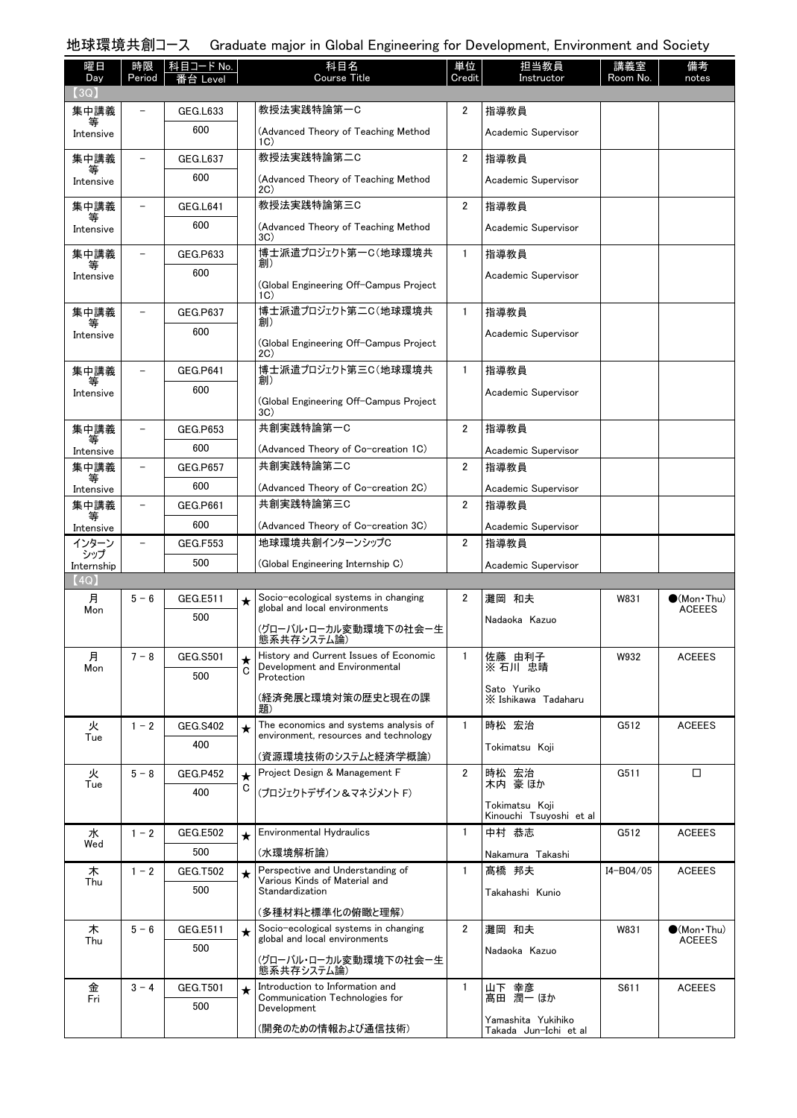# 地球環境共創コース Graduate major in Global Engineering for Development, Environment and Society

| 曜日                | 時限      | 科目コード No.              |         | 科目名                                                                              | 単位<br>Credit   | 担当教員                                        | 講義室       | 備考                           |
|-------------------|---------|------------------------|---------|----------------------------------------------------------------------------------|----------------|---------------------------------------------|-----------|------------------------------|
| Day<br>(3Q)       | Period  |                        |         | <b>Course Title</b>                                                              |                | Instructor                                  | Room No.  | notes                        |
| 集中講義              |         | GEG.L633               |         | 教授法実践特論第一C                                                                       | 2              | 指導教員                                        |           |                              |
| Intensive         |         | 600                    |         | (Advanced Theory of Teaching Method<br>1C)                                       |                | Academic Supervisor                         |           |                              |
| 集中講義              |         | GEG.L637               |         | 教授法実践特論第二C                                                                       | 2              | 指導教員                                        |           |                              |
| Intensive         |         | 600                    |         | (Advanced Theory of Teaching Method<br>2C)                                       |                | Academic Supervisor                         |           |                              |
| 集中講義              |         | GEG.L641               |         | 教授法実践特論第三C                                                                       | $\overline{2}$ | 指導教員                                        |           |                              |
| Intensive         |         | 600                    |         | (Advanced Theory of Teaching Method<br>3C)                                       |                | Academic Supervisor                         |           |                              |
| 集中講義              |         | GEG.P633               |         | 博士派遣プロジェクト第一C(地球環境共<br>創)                                                        | $\mathbf{1}$   | 指導教員                                        |           |                              |
| Intensive         |         | 600                    |         | (Global Engineering Off-Campus Project<br>1C)                                    |                | Academic Supervisor                         |           |                              |
| 集中講義              |         | GEG.P637               |         | 博士派遣プロジェクト第二C(地球環境共                                                              | 1              | 指導教員                                        |           |                              |
| Intensive         |         | 600                    |         | 創)<br>(Global Engineering Off-Campus Project<br>2C)                              |                | Academic Supervisor                         |           |                              |
| 集中講義              |         | <b>GEG.P641</b>        |         | 博士派遣プロジェクト第三C(地球環境共                                                              | $\mathbf{1}$   | 指導教員                                        |           |                              |
| Intensive         |         | 600                    |         | 創)<br>(Global Engineering Off-Campus Project)                                    |                | Academic Supervisor                         |           |                              |
| 集中講義              |         | <b>GEG.P653</b>        |         | 3C)<br>共創実践特論第一C                                                                 | $\overline{2}$ | 指導教員                                        |           |                              |
| Intensive         |         | 600                    |         | (Advanced Theory of Co-creation 1C)                                              |                | Academic Supervisor                         |           |                              |
| 集中講義              |         | <b>GEG.P657</b>        |         | 共創実践特論第二C                                                                        | 2              | 指導教員                                        |           |                              |
| Intensive         |         | 600                    |         | (Advanced Theory of Co-creation 2C)                                              |                | Academic Supervisor                         |           |                              |
| 集中講義              |         | GEG.P661               |         | 共創実践特論第三C                                                                        | 2              | 指導教員                                        |           |                              |
| 等<br>Intensive    |         | 600                    |         | (Advanced Theory of Co-creation 3C)                                              |                | Academic Supervisor                         |           |                              |
| インターン             |         | <b>GEG.F553</b>        |         | 地球環境共創インターンシップC                                                                  | 2              | 指導教員                                        |           |                              |
| シップ<br>Internship |         | 500                    |         | (Global Engineering Internship C)                                                |                | Academic Supervisor                         |           |                              |
| (4Q)              |         |                        |         |                                                                                  |                |                                             |           |                              |
| 月<br>Mon          | $5 - 6$ | GEG.E511               | $\star$ | Socio-ecological systems in changing<br>global and local environments            | 2              | 灘岡 和夫                                       | W831      | $(Mon$ Thu)<br><b>ACEEES</b> |
|                   |         | 500                    |         | (グローバル・ローカル変動環境下の社会ー生<br>態系共存システム論)                                              |                | Nadaoka Kazuo                               |           |                              |
| 月<br>Mon          | $7 - 8$ | <b>GEG.S501</b>        | ★       | History and Current Issues of Economic<br>Development and Environmental          | $\mathbf{1}$   | 佐藤 由利子<br>※ 石川 忠晴                           | W932      | <b>ACEEES</b>                |
|                   |         | 500                    | C       | Protection                                                                       |                | Sato Yuriko                                 |           |                              |
|                   |         |                        |         | (経済発展と環境対策の歴史と現在の課<br>題)                                                         |                | X Ishikawa Tadaharu                         |           |                              |
| 火<br>Tue          | $1 - 2$ | <b>GEG.S402</b>        | $\star$ | The economics and systems analysis of<br>environment, resources and technology   | $\mathbf{1}$   | 時松 宏治                                       | G512      | <b>ACEEES</b>                |
|                   |         | 400                    |         | (資源環境技術のシステムと経済学概論)                                                              |                | Tokimatsu Koii                              |           |                              |
| 火                 | $5 - 8$ | <b>GEG.P452</b>        | $\star$ | Project Design & Management F                                                    | $\overline{2}$ | 時松 宏治                                       | G511      | □                            |
| Tue               |         | 400                    | C       | (プロジェクトデザイン&マネジメント F)                                                            |                | 木内 豪ほか                                      |           |                              |
|                   |         |                        |         |                                                                                  |                | Tokimatsu Koii<br>Kinouchi Tsuyoshi et al   |           |                              |
| 水<br>Wed          | $1 - 2$ | <b>GEG.E502</b>        | $\star$ | Environmental Hydraulics                                                         | $\mathbf{1}$   | 中村 恭志                                       | G512      | <b>ACEEES</b>                |
|                   |         | 500                    |         | (水環境解析論)                                                                         |                | Nakamura Takashi                            |           |                              |
| 木<br>Thu          | $1 - 2$ | <b>GEG.T502</b>        | $\star$ | Perspective and Understanding of<br>Various Kinds of Material and                | $\mathbf{1}$   | 髙橋 邦夫                                       | I4-B04/05 | <b>ACEEES</b>                |
|                   |         | 500                    |         | Standardization<br>(多種材料と標準化の俯瞰と理解)                                              |                | Takahashi Kunio                             |           |                              |
| 木                 | $5 - 6$ | GEG.E511               | $\star$ | Socio-ecological systems in changing                                             | $\overline{2}$ | 灘岡 和夫                                       | W831      | $\bullet$ (Mon•Thu)          |
| Thu               |         | 500                    |         | global and local environments                                                    |                | Nadaoka Kazuo                               |           | <b>ACEEES</b>                |
|                   |         |                        |         | (グローバル・ローカル変動環境下の社会ー生<br>態系共存システム論)                                              |                |                                             |           |                              |
| 金<br>Fri          | $3 - 4$ | <b>GEG.T501</b><br>500 |         | Introduction to Information and<br>Communication Technologies for<br>Development | $\mathbf{1}$   | 山下 幸彦<br>髙田 潤一 ほか                           | S611      | <b>ACEEES</b>                |
|                   |         |                        |         | (開発のための情報および通信技術)                                                                |                | Yamashita Yukihiko<br>Takada Jun-Ichi et al |           |                              |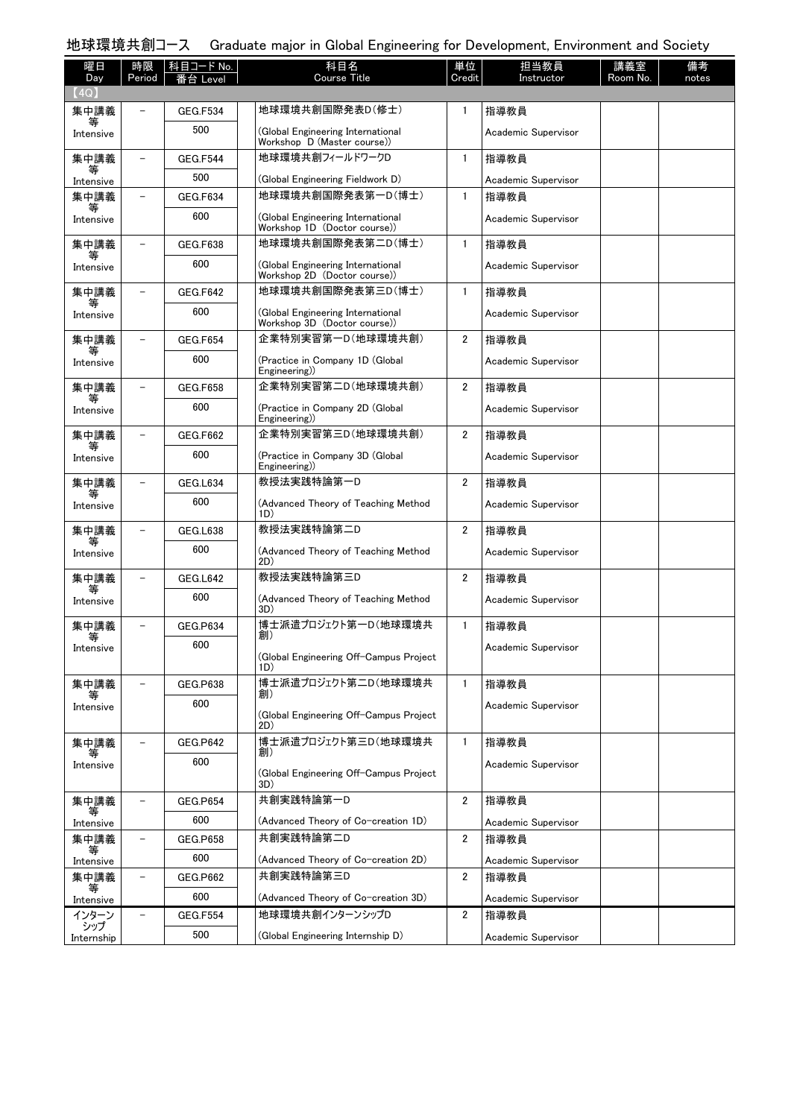# 地球環境共創コース Graduate major in Global Engineering for Development, Environment and Society

| 曜日<br>Day      | 時限<br>Period             | 科目コード No.<br>Level | 科目名<br><b>Course Title</b>                                        | 単位<br>Credit            | 担当教員<br>Instructor  | 講義室<br>Room No. | 備考<br>notes |
|----------------|--------------------------|--------------------|-------------------------------------------------------------------|-------------------------|---------------------|-----------------|-------------|
| (4Q)           |                          |                    |                                                                   |                         |                     |                 |             |
| 集中講義           |                          | <b>GEG.F534</b>    | 地球環境共創国際発表D(修士)                                                   | 1                       | 指導教員                |                 |             |
| ₩<br>Intensive |                          | 500                | (Global Engineering International<br>Workshop D (Master course))  |                         | Academic Supervisor |                 |             |
| 集中講義           |                          | <b>GEG.F544</b>    | 地球環境共創フィールドワークD                                                   | 1                       | 指導教員                |                 |             |
| 等<br>Intensive |                          | 500                | (Global Engineering Fieldwork D)                                  |                         | Academic Supervisor |                 |             |
| 集中講義<br>等      |                          | <b>GEG.F634</b>    | 地球環境共創国際発表第一D(博士)                                                 | $\mathbf{1}$            | 指導教員                |                 |             |
| Intensive      |                          | 600                | (Global Engineering International<br>Workshop 1D (Doctor course)) |                         | Academic Supervisor |                 |             |
| 集中講義<br>等      |                          | <b>GEG.F638</b>    | 地球環境共創国際発表第二D(博士)                                                 | 1                       | 指導教員                |                 |             |
| Intensive      |                          | 600                | (Global Engineering International<br>Workshop 2D (Doctor course)) |                         | Academic Supervisor |                 |             |
| 集中講義<br>等      |                          | GEG.F642           | 地球環境共創国際発表第三D(博士)                                                 | $\mathbf{1}$            | 指導教員                |                 |             |
| Intensive      |                          | 600                | (Global Engineering International<br>Workshop 3D (Doctor course)) |                         | Academic Supervisor |                 |             |
| 集中講義<br>等      |                          | <b>GEG.F654</b>    | 企業特別実習第一D(地球環境共創)                                                 | 2                       | 指導教員                |                 |             |
| Intensive      |                          | 600                | (Practice in Company 1D (Global<br>Engineering)                   |                         | Academic Supervisor |                 |             |
| 集中講義<br>等      |                          | <b>GEG.F658</b>    | 企業特別実習第二D(地球環境共創)                                                 | $\overline{2}$          | 指導教員                |                 |             |
| Intensive      |                          | 600                | (Practice in Company 2D (Global<br>Engineering)                   |                         | Academic Supervisor |                 |             |
| 集中講義<br>等      |                          | GEG.F662           | 企業特別実習第三D(地球環境共創)                                                 | $\overline{2}$          | 指導教員                |                 |             |
| Intensive      |                          | 600                | (Practice in Company 3D (Global<br>Engineering)                   |                         | Academic Supervisor |                 |             |
| 集中講義<br>等      |                          | GEG.L634           | 教授法実践特論第一D                                                        | $\overline{2}$          | 指導教員                |                 |             |
| Intensive      |                          | 600                | (Advanced Theory of Teaching Method<br>1D)                        |                         | Academic Supervisor |                 |             |
| 集中講義<br>等      |                          | <b>GEG.L638</b>    | 教授法実践特論第二D                                                        | $\overline{2}$          | 指導教員                |                 |             |
| Intensive      |                          | 600                | (Advanced Theory of Teaching Method<br>2D)                        |                         | Academic Supervisor |                 |             |
| 集中講義<br>等      |                          | GEG.L642           | 教授法実践特論第三D                                                        | $\overline{2}$          | 指導教員                |                 |             |
| Intensive      |                          | 600                | (Advanced Theory of Teaching Method<br>3D)                        |                         | Academic Supervisor |                 |             |
| 集中講義<br>等      |                          | <b>GEG.P634</b>    | 博士派遣プロジェクト第一D(地球環境共<br>創)                                         | 1                       | 指導教員                |                 |             |
| Intensive      |                          | 600                | (Global Engineering Off-Campus Project                            |                         | Academic Supervisor |                 |             |
|                |                          |                    | 1D)                                                               |                         |                     |                 |             |
| 集中講義           |                          | <b>GEG.P638</b>    | 博士派遣プロジェクト第二D(地球環境共<br>創)                                         | $\mathbf{1}$            | 指導教員                |                 |             |
| Intensive      |                          | 600                | (Global Engineering Off-Campus Project<br>2D)                     |                         | Academic Supervisor |                 |             |
| 集中講義           |                          | GEG.P642           | 博士派遣プロジェクト第三D(地球環境共                                               | $\mathbf{1}$            | 指導教員                |                 |             |
| 等<br>Intensive |                          | 600                | 創)                                                                |                         | Academic Supervisor |                 |             |
|                |                          |                    | (Global Engineering Off-Campus Project<br>3D)                     |                         |                     |                 |             |
| 集中講義           | $\overline{\phantom{a}}$ | <b>GEG.P654</b>    | 共創実践特論第一D                                                         | $\overline{2}$          | 指導教員                |                 |             |
| 等<br>Intensive |                          | 600                | (Advanced Theory of Co-creation 1D)                               |                         | Academic Supervisor |                 |             |
| 集中講義           | $\overline{\phantom{a}}$ | <b>GEG.P658</b>    | 共創実践特論第二D                                                         | $\overline{\mathbf{c}}$ | 指導教員                |                 |             |
| 等<br>Intensive |                          | 600                | (Advanced Theory of Co-creation 2D)                               |                         | Academic Supervisor |                 |             |
| 集中講義           |                          | <b>GEG.P662</b>    | 共創実践特論第三D                                                         | $\mathbf{2}$            | 指導教員                |                 |             |
| Intensive      |                          | 600                | (Advanced Theory of Co-creation 3D)                               |                         | Academic Supervisor |                 |             |
| インターン<br>シップ   |                          | <b>GEG.F554</b>    | 地球環境共創インターンシップD                                                   | $\overline{2}$          | 指導教員                |                 |             |
| Internship     |                          | 500                | (Global Engineering Internship D)                                 |                         | Academic Supervisor |                 |             |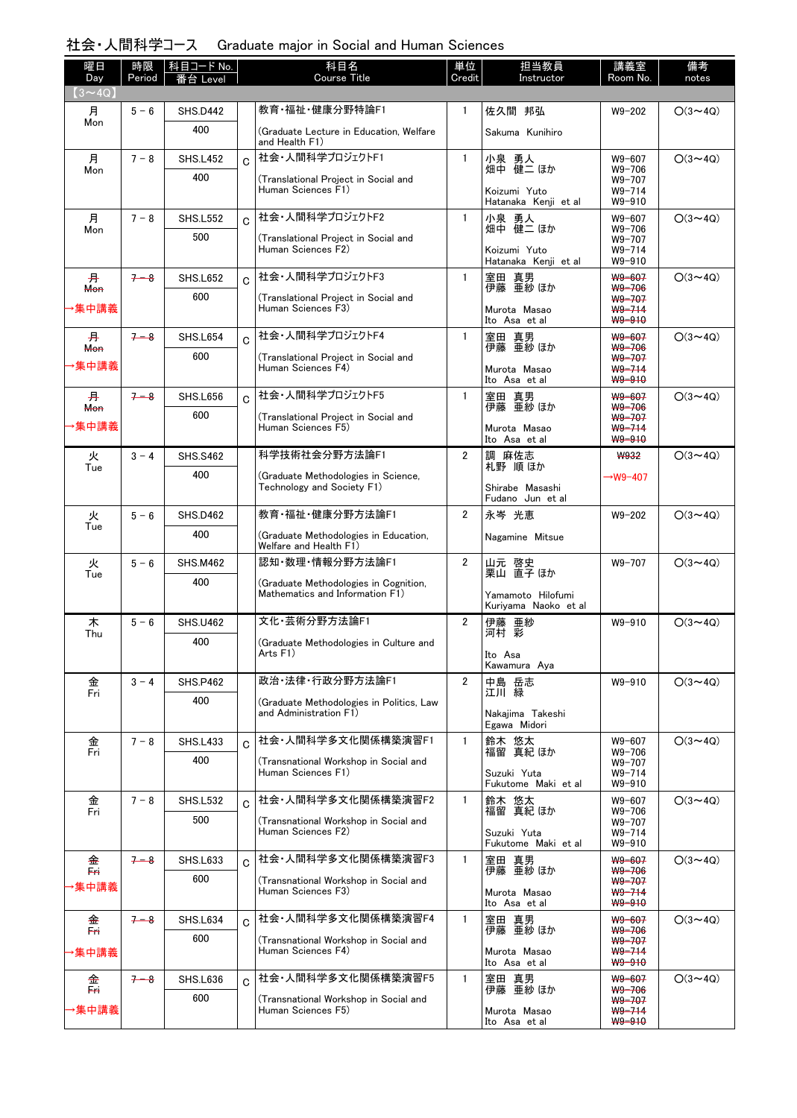### 社会・人間科学コース Graduate major in Social and Human Sciences

| 曜日<br>Day               | 時限<br>Period | コード No.<br>枓目   |             | 科目名<br><b>Course Title</b>                                               | 単位<br>Credit   | 担当教員<br>Instructor                        | 講義室<br>Room No.                          | 備考<br>notes    |
|-------------------------|--------------|-----------------|-------------|--------------------------------------------------------------------------|----------------|-------------------------------------------|------------------------------------------|----------------|
| $(3 \sim 4Q)$           |              | eve             |             |                                                                          |                |                                           |                                          |                |
| 月                       | $5 - 6$      | <b>SHS.D442</b> |             | 教育·福祉·健康分野特論F1                                                           | $\mathbf{1}$   | 佐久間 邦弘                                    | $W9 - 202$                               | $O(3 \sim 4Q)$ |
| Mon                     |              | 400             |             | (Graduate Lecture in Education, Welfare<br>and Health F1)                |                | Sakuma Kunihiro                           |                                          |                |
| 月<br>Mon                | $7 - 8$      | <b>SHS.L452</b> | $\mathbf C$ | 社会・人間科学プロジェクトF1                                                          | $\mathbf{1}$   | 小泉 勇人<br>畑中 健二 ほか                         | W9-607<br>$W9 - 706$                     | $O(3 \sim 4Q)$ |
|                         |              | 400             |             | (Translational Project in Social and<br>Human Sciences F1)               |                | Koizumi Yuto<br>Hatanaka Kenji et al      | W9-707<br>$W9 - 714$<br>$W9 - 910$       |                |
| 月<br>Mon                | $7 - 8$      | <b>SHS.L552</b> | $\Omega$    | 社会・人間科学プロジェクトF2                                                          | $\mathbf{1}$   | 小泉 勇人<br>畑中 健二 ほか                         | W9-607<br>$W9 - 706$                     | $O(3 \sim 4Q)$ |
|                         |              | 500             |             | (Translational Project in Social and<br>Human Sciences F2)               |                | Koizumi Yuto<br>Hatanaka Kenji et al      | W9-707<br>$W9 - 714$<br>$W9 - 910$       |                |
| 开<br><b>Mon</b>         | $7 - 8$      | <b>SHS.L652</b> | $\mathbf C$ | 社会·人間科学プロジェクトF3                                                          | $\mathbf{1}$   | 室田 真男<br>伊藤 亜紗ほか                          | W9-607<br>W9-706                         | $O(3 \sim 4Q)$ |
| 集中講義                    |              | 600             |             | (Translational Project in Social and<br>Human Sciences F3)               |                | Murota Masao<br>Ito Asa et al             | W9-707<br>$W9 - 714$<br>W9-910           |                |
| 开                       | $7 - 8$      | SHS.L654        | $\mathbf C$ | 社会・人間科学プロジェクトF4                                                          | $\mathbf{1}$   | 室田 真男<br>伊藤 亜紗ほか                          | W9-607<br>W9-706                         | $O(3 \sim 4Q)$ |
| Mon<br>▸集中講義            |              | 600             |             | (Translational Project in Social and<br>Human Sciences F4)               |                | Murota Masao<br>Ito Asa et al             | W9-707<br>$W9 - 714$<br>W9-910           |                |
| 开                       | $7 - 8$      | SHS.L656        | $\mathbf C$ | 社会・人間科学プロジェクトF5                                                          | $\mathbf{1}$   | 室田 真男                                     | W9-607                                   | $O(3 \sim 4Q)$ |
| <b>Mon</b>              |              | 600             |             | (Translational Project in Social and                                     |                | 伊藤 亜紗 ほか                                  | $W9 - 706$<br>W9-707                     |                |
| ·集中講義                   |              |                 |             | Human Sciences F5)                                                       |                | Murota Masao<br>Ito Asa et al             | $W9 - 714$<br>W9-910                     |                |
| 火<br>Tue                | $3 - 4$      | <b>SHS.S462</b> |             | 科学技術社会分野方法論F1                                                            | $\overline{2}$ | 調 麻佐志<br>札野 順ほか                           | <b>W932</b>                              | $O(3 \sim 4Q)$ |
|                         |              | 400             |             | (Graduate Methodologies in Science,<br>Technology and Society F1)        |                | Shirabe Masashi<br>Fudano Jun et al       | →W9-407                                  |                |
| 火<br>Tue                | $5 - 6$      | <b>SHS.D462</b> |             | 教育·福祉·健康分野方法論F1                                                          | $\overline{2}$ | 永岑 光恵                                     | $W9 - 202$                               | $O(3 \sim 4Q)$ |
|                         |              | 400             |             | (Graduate Methodologies in Education,<br>Welfare and Health F1)          |                | Nagamine Mitsue                           |                                          |                |
| 火<br>Tue                | $5 - 6$      | <b>SHS.M462</b> |             | 認知·数理·情報分野方法論F1                                                          | $\overline{2}$ | 山元 啓史<br>栗山 直子 ほか                         | W9-707                                   | $O(3 \sim 4Q)$ |
|                         |              | 400             |             | (Graduate Methodologies in Cognition,<br>Mathematics and Information F1) |                | Yamamoto Hilofumi<br>Kuriyama Naoko et al |                                          |                |
| 木                       | $5 - 6$      | <b>SHS.U462</b> |             | 文化·芸術分野方法論F1                                                             | $\overline{2}$ | 伊藤 亜紗<br>河村 彩                             | W9-910                                   | $O(3 \sim 4Q)$ |
| Thu                     |              | 400             |             | (Graduate Methodologies in Culture and<br>Arts F1)                       |                | Ito Asa<br>Kawamura Aya                   |                                          |                |
| 金                       | $3 - 4$      | <b>SHS.P462</b> |             | 政治·法律·行政分野方法論F1                                                          | $\overline{2}$ | 中島 岳志<br>江川 緑                             | W9-910                                   | $O(3 \sim 4Q)$ |
| Fri                     |              | 400             |             | (Graduate Methodologies in Politics, Law<br>and Administration F1)       |                | Nakajima Takeshi                          |                                          |                |
|                         |              |                 |             |                                                                          |                | Egawa Midori                              |                                          |                |
| 金<br>Fri                | $7 - 8$      | <b>SHS.L433</b> | Ć           | 社会·人間科学多文化関係構築演習F1                                                       | $\mathbf{1}$   | 鈴木 悠太<br>福留 真紀ほか                          | W9-607<br>$W9 - 706$                     | $O(3 \sim 4Q)$ |
|                         |              | 400             |             | (Transnational Workshop in Social and<br>Human Sciences F1)              |                | Suzuki Yuta<br>Fukutome Maki et al        | $W9 - 707$<br>$W9 - 714$<br>$W9 - 910$   |                |
| 金<br>Fri                | $7 - 8$      | <b>SHS.L532</b> | C           | 社会·人間科学多文化関係構築演習F2                                                       | $\mathbf{1}$   | 鈴木 悠太<br>福留 真紀 ほか                         | W9-607<br>W9-706                         | $O(3 \sim 4Q)$ |
|                         |              | 500             |             | (Transnational Workshop in Social and<br>Human Sciences F2)              |                | Suzuki Yuta<br>Fukutome Maki et al        | W9-707<br>$W9 - 714$<br>W9-910           |                |
| 金<br>Eri                | $7 - 8$      | <b>SHS.L633</b> | Ć           | 社会·人間科学多文化関係構築演習F3                                                       | $\mathbf{1}$   | 室田 真男<br>伊藤 亜紗ほなか                         | W9-607<br>W9-706                         | $O(3 \sim 4Q)$ |
| ▸集中講義                   |              | 600             |             | (Transnational Workshop in Social and<br>Human Sciences F3)              |                | Murota Masao<br>Ito Asa et al             | W9-707<br>$W9 - 714$<br>W9-910           |                |
| 金<br>Fn.                | $7 - 8$      | <b>SHS.L634</b> | C.          | 社会·人間科学多文化関係構築演習F4                                                       | $\mathbf{1}$   | 室田 真男<br>伊藤 亜紗 ほか                         | W9-607<br>W9-706                         | $O(3 \sim 4Q)$ |
| →集中講義                   |              | 600             |             | (Transnational Workshop in Social and<br>Human Sciences F4)              |                | Murota Masao<br>Ito Asa et al             | W9-707<br>$W9 - 714$<br>W9-910           |                |
| 金                       | $7 - 8$      | SHS.L636        | C           | 社会·人間科学多文化関係構築演習F5                                                       | $\mathbf{1}$   | 室田 真男<br>伊藤 亜紗 ほか                         | W9-607                                   | $O(3 \sim 4Q)$ |
| $\overline{a}$<br>▸集中講義 |              | 600             |             | (Transnational Workshop in Social and<br>Human Sciences F5)              |                | Murota Masao<br>Ito Asa et al             | W9-706<br>W9-707<br>$W9 - 714$<br>W9-910 |                |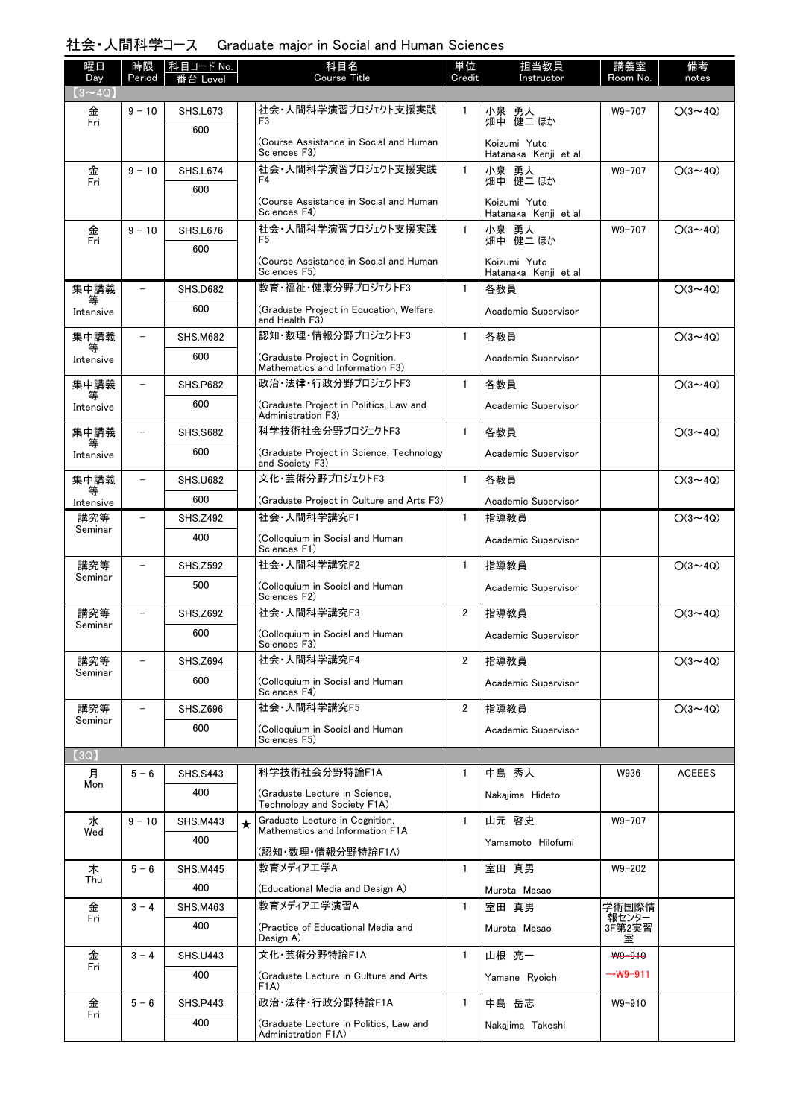#### 社会・人間科学コース Graduate major in Social and Human Sciences

| 曜日<br>Day      | 時限<br>Period             | │科目コード No.<br>番台 Level |         | 科目名<br><b>Course Title</b>                                         | 単位<br>Credit   | 担当教員<br>Instructor                   | 講義室<br>Room No.      | 備考<br>notes    |
|----------------|--------------------------|------------------------|---------|--------------------------------------------------------------------|----------------|--------------------------------------|----------------------|----------------|
| $(3 \sim 4Q)$  |                          |                        |         |                                                                    |                |                                      |                      |                |
| 金<br>Fri       | $9 - 10$                 | <b>SHS.L673</b><br>600 |         | 社会・人間科学演習プロジェクト支援実践<br>F <sub>3</sub>                              | 1              | 小泉 勇人<br>畑中 健二 ほか                    | W9-707               | $O(3 \sim 4Q)$ |
|                |                          |                        |         | (Course Assistance in Social and Human)<br>Sciences F3)            |                | Koizumi Yuto<br>Hatanaka Kenji et al |                      |                |
| 金              | $9 - 10$                 | <b>SHS.L674</b>        |         | 社会・人間科学演習プロジェクト支援実践<br>F4                                          | $\mathbf{1}$   | 小泉 勇人                                | W9-707               | $O(3 \sim 4Q)$ |
| Fri            |                          | 600                    |         | (Course Assistance in Social and Human                             |                | 畑中 健二 ほか<br>Koizumi Yuto             |                      |                |
|                | $9 - 10$                 | <b>SHS.L676</b>        |         | Sciences F4)<br>社会・人間科学演習プロジェクト支援実践                                | $\mathbf{1}$   | Hatanaka Kenii et al<br>小泉 勇人        | W9-707               | $O(3 \sim 4Q)$ |
| 金<br>Fri       |                          | 600                    |         | F <sub>5</sub>                                                     |                | 畑中 健二 ほか                             |                      |                |
|                |                          |                        |         | (Course Assistance in Social and Human<br>Sciences F5)             |                | Koizumi Yuto<br>Hatanaka Kenji et al |                      |                |
| 集中講義           | $\qquad \qquad -$        | <b>SHS.D682</b>        |         | 教育・福祉・健康分野プロジェクトF3                                                 | $\mathbf{1}$   | 各教員                                  |                      | $O(3 \sim 4Q)$ |
| 等<br>Intensive |                          | 600                    |         | (Graduate Project in Education, Welfare<br>and Health F3)          |                | Academic Supervisor                  |                      |                |
| 集中講義<br>等      | $\overline{\phantom{0}}$ | <b>SHS.M682</b>        |         | 認知·数理·情報分野プロジェクトF3                                                 | $\mathbf{1}$   | 各教員                                  |                      | $O(3 \sim 4Q)$ |
| Intensive      |                          | 600                    |         | (Graduate Project in Cognition.<br>Mathematics and Information F3) |                | Academic Supervisor                  |                      |                |
| 集中講義<br>等      | $\overline{\phantom{a}}$ | <b>SHS.P682</b>        |         | 政治·法律·行政分野プロジェクトF3                                                 | $\mathbf{1}$   | 各教員                                  |                      | $O(3 \sim 4Q)$ |
| Intensive      |                          | 600                    |         | (Graduate Project in Politics, Law and<br>Administration F3)       |                | Academic Supervisor                  |                      |                |
| 集中講義<br>等      | $\overline{\phantom{a}}$ | <b>SHS.S682</b>        |         | 科学技術社会分野プロジェクトF3                                                   | $\mathbf{1}$   | 各教員                                  |                      | $O(3 \sim 4Q)$ |
| Intensive      |                          | 600                    |         | (Graduate Project in Science, Technology)<br>and Society F3)       |                | Academic Supervisor                  |                      |                |
| 集中講義<br>等      | $\overline{\phantom{a}}$ | <b>SHS.U682</b>        |         | 文化·芸術分野プロジェクトF3                                                    | $\mathbf{1}$   | 各教員                                  |                      | $O(3 \sim 4Q)$ |
| Intensive      |                          | 600                    |         | (Graduate Project in Culture and Arts F3)                          |                | Academic Supervisor                  |                      |                |
| 講究等<br>Seminar | $\overline{\phantom{0}}$ | <b>SHS.Z492</b>        |         | 社会·人間科学講究F1                                                        | $\mathbf{1}$   | 指導教員                                 |                      | $O(3 \sim 4Q)$ |
|                |                          | 400                    |         | (Colloquium in Social and Human<br>Sciences F1)                    |                | Academic Supervisor                  |                      |                |
| 講究等<br>Seminar | $\overline{\phantom{0}}$ | <b>SHS.Z592</b>        |         | 社会·人間科学講究F2                                                        | $\mathbf{1}$   | 指導教員                                 |                      | $O(3 \sim 4Q)$ |
|                |                          | 500                    |         | (Colloquium in Social and Human<br>Sciences F2)                    |                | Academic Supervisor                  |                      |                |
| 講究等<br>Seminar | $\overline{\phantom{0}}$ | <b>SHS.Z692</b>        |         | 社会·人間科学講究F3                                                        | $\overline{2}$ | 指導教員                                 |                      | $O(3 \sim 4Q)$ |
|                |                          | 600                    |         | (Colloquium in Social and Human<br>Sciences F3)                    |                | Academic Supervisor                  |                      |                |
| 講究等            | $\qquad \qquad -$        | <b>SHS.Z694</b>        |         | 社会·人間科学講究F4                                                        | $\overline{2}$ | 指導教員                                 |                      | $O(3 \sim 4Q)$ |
| Seminar        |                          | 600                    |         | (Colloquium in Social and Human<br>Sciences F4)                    |                | Academic Supervisor                  |                      |                |
| 講究等<br>Seminar | $\qquad \qquad -$        | <b>SHS.Z696</b>        |         | 社会·人間科学講究F5                                                        | $\overline{2}$ | 指導教員                                 |                      | $O(3 \sim 4Q)$ |
|                |                          | 600                    |         | (Colloquium in Social and Human<br>Sciences F5)                    |                | Academic Supervisor                  |                      |                |
| (3Q)           |                          |                        |         |                                                                    |                |                                      |                      |                |
| 月<br>Mon       | $5 - 6$                  | <b>SHS.S443</b>        |         | 科学技術社会分野特論F1A                                                      | 1              | 中島 秀人                                | W936                 | <b>ACEEES</b>  |
|                |                          | 400                    |         | (Graduate Lecture in Science,<br>Technology and Society F1A)       |                | Nakajima Hideto                      |                      |                |
| 水<br>Wed       | $9 - 10$                 | <b>SHS.M443</b>        | $\star$ | Graduate Lecture in Cognition,<br>Mathematics and Information F1A  | $\mathbf{1}$   | 山元 啓史                                | W9-707               |                |
|                |                          | 400                    |         | (認知・数理・情報分野特論F1A)                                                  |                | Yamamoto Hilofumi                    |                      |                |
| 木              | $5 - 6$                  | <b>SHS.M445</b>        |         | 教育メディアエ学A                                                          | 1              | 室田 真男                                | $W9 - 202$           |                |
| Thu            |                          | 400                    |         | (Educational Media and Design A)                                   |                | Murota Masao                         |                      |                |
| 金              | $3 - 4$                  | <b>SHS.M463</b>        |         | 教育メディアエ学演習A                                                        | $\mathbf{1}$   | 室田 真男                                | 学術国際情                |                |
| Fri            |                          | 400                    |         | (Practice of Educational Media and<br>Design A)                    |                | Murota Masao                         | 報センター<br>3F第2実習<br>室 |                |
| 金              | $3 - 4$                  | <b>SHS.U443</b>        |         | 文化·芸術分野特論F1A                                                       | $\mathbf{1}$   | 山根 亮一                                | W9-910               |                |
| Fri            |                          | 400                    |         | (Graduate Lecture in Culture and Arts)<br>F <sub>1</sub> A)        |                | Yamane Ryoichi                       | $\rightarrow$ W9-911 |                |
| 金              | $5 - 6$                  | <b>SHS.P443</b>        |         | 政治·法律·行政分野特論F1A                                                    | $\mathbf{1}$   | 中島 岳志                                | W9-910               |                |
| Fri            |                          | 400                    |         | (Graduate Lecture in Politics, Law and<br>Administration F1A)      |                | Nakajima Takeshi                     |                      |                |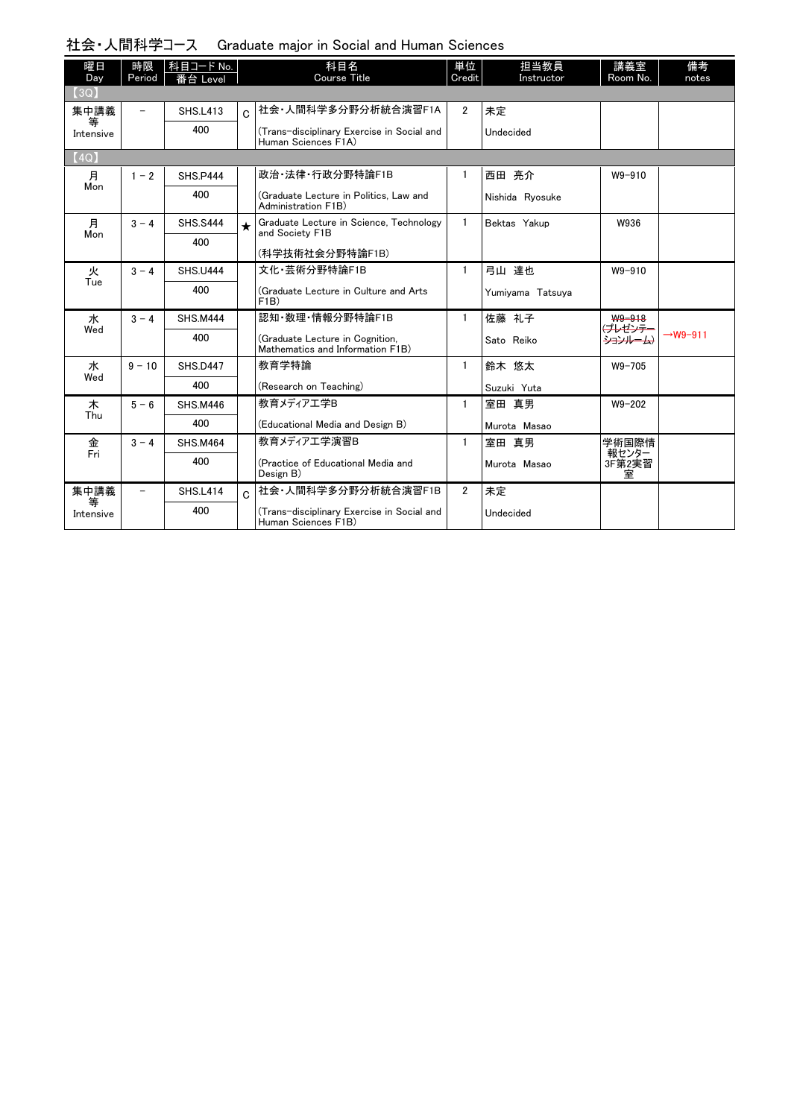| 社会・人間科学コース (Graduate major in Social and Human Sciences |  |  |  |  |  |  |
|---------------------------------------------------------|--|--|--|--|--|--|
|---------------------------------------------------------|--|--|--|--|--|--|

| 曜日<br>Day      | 時限<br>Period             | 科目コード No.<br>番台 Level |          | 科目名<br><b>Course Title</b>                                          | 単位<br>Credit   | 担当教員<br>Instructor | 講義室<br>Room No.           | 備考<br>notes          |
|----------------|--------------------------|-----------------------|----------|---------------------------------------------------------------------|----------------|--------------------|---------------------------|----------------------|
| (3Q)           |                          |                       |          |                                                                     |                |                    |                           |                      |
| 集中講義<br>等      | $\equiv$                 | <b>SHS.L413</b>       | $\Omega$ | 社会·人間科学多分野分析統合演習F1A                                                 | $\overline{2}$ | 未定                 |                           |                      |
| Intensive      |                          | 400                   |          | (Trans-disciplinary Exercise in Social and<br>Human Sciences F1A)   |                | Undecided          |                           |                      |
| (4Q)           |                          |                       |          |                                                                     |                |                    |                           |                      |
| 月              | $1 - 2$                  | <b>SHS.P444</b>       |          | 政治·法律·行政分野特論F1B                                                     | 1              | 西田 亮介              | W9-910                    |                      |
| Mon            |                          | 400                   |          | (Graduate Lecture in Politics, Law and<br>Administration F1B)       |                | Nishida Ryosuke    |                           |                      |
| 月              | $3 - 4$                  | <b>SHS.S444</b>       | $\star$  | Graduate Lecture in Science, Technology<br>and Society F1B          | $\mathbf{1}$   | Bektas Yakup       | W936                      |                      |
| Mon            |                          | 400                   |          | (科学技術社会分野特論F1B)                                                     |                |                    |                           |                      |
| 火              | $3 - 4$                  | <b>SHS.U444</b>       |          | 文化·芸術分野特論F1B                                                        | $\mathbf{1}$   | 弓山 達也              | $W9 - 910$                |                      |
| Tue            |                          | 400                   |          | (Graduate Lecture in Culture and Arts)<br>F1B)                      |                | Yumiyama Tatsuya   |                           |                      |
| 水              | $3 - 4$                  | <b>SHS.M444</b>       |          | 認知·数理·情報分野特論F1B                                                     | $\mathbf{1}$   | 佐藤 礼子              | W9-918                    |                      |
| Wed            |                          | 400                   |          | (Graduate Lecture in Cognition,<br>Mathematics and Information F1B) |                | Sato Reiko         | <u>(プレゼンテー</u><br>ションルーム) | $\rightarrow$ W9-911 |
| ж              | $9 - 10$                 | <b>SHS.D447</b>       |          | 教育学特論                                                               | $\mathbf{1}$   | 鈴木 悠太              | $W9 - 705$                |                      |
| Wed            |                          | 400                   |          | (Research on Teaching)                                              |                | Suzuki Yuta        |                           |                      |
| 木              | $5 - 6$                  | <b>SHS.M446</b>       |          | 教育メディアエ学B                                                           | $\mathbf{1}$   | 室田 真男              | $W9 - 202$                |                      |
| Thu            |                          | 400                   |          | (Educational Media and Design B)                                    |                | Murota Masao       |                           |                      |
| 金              | $3 - 4$                  | <b>SHS.M464</b>       |          | 教育メディアエ学演習B                                                         | $\mathbf{1}$   | 室田 真男              | 学術国際情                     |                      |
| Fri            |                          | 400                   |          | (Practice of Educational Media and<br>Design B)                     |                | Murota Masao       | 報センター<br>3F第2実習<br>室      |                      |
| 集中講義           | $\overline{\phantom{0}}$ | <b>SHS.L414</b>       | Ć        | 社会·人間科学多分野分析統合演習F1B                                                 | $\overline{2}$ | 未定                 |                           |                      |
| 等<br>Intensive |                          | 400                   |          | (Trans-disciplinary Exercise in Social and<br>Human Sciences F1B)   |                | Undecided          |                           |                      |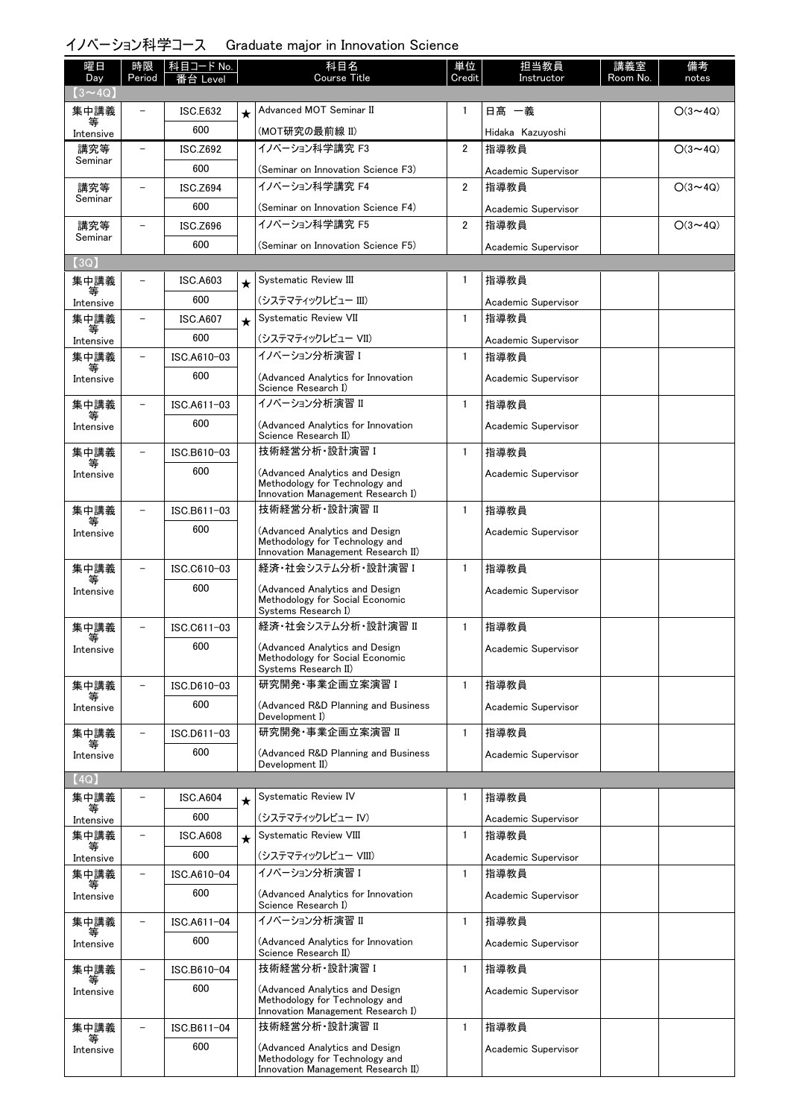# イノベーション科学コース Graduate major in Innovation Science

| 曜日                | 時限                       | 科目コード No.       |         | 科目名                                                                  | 単位             | 担当教員                        | 講義室      | 備考             |
|-------------------|--------------------------|-----------------|---------|----------------------------------------------------------------------|----------------|-----------------------------|----------|----------------|
| Day               | Period                   | eve             |         | <b>Course Title</b>                                                  | Credit         | Instructor                  | Room No. | notes          |
| $(3 \sim 4Q)$     |                          | <b>ISC.E632</b> |         | Advanced MOT Seminar II                                              | $\mathbf{1}$   | 日髙 一義                       |          | $O(3 \sim 4Q)$ |
| 集中講義              |                          | 600             |         |                                                                      |                |                             |          |                |
| Intensive<br>講究等  | $\overline{\phantom{0}}$ | <b>ISC.Z692</b> |         | (MOT研究の最前線 II)<br>イノベーション科学講究 F3                                     | 2              | Hidaka Kazuyoshi<br>指導教員    |          | $O(3 \sim 4Q)$ |
| Seminar           |                          | 600             |         |                                                                      |                |                             |          |                |
|                   |                          | ISC.Z694        |         | (Seminar on Innovation Science F3)<br>イノベーション科学講究 F4                 | 2              | Academic Supervisor<br>指導教員 |          | $O(3 \sim 4Q)$ |
| 講究等<br>Seminar    |                          | 600             |         |                                                                      |                |                             |          |                |
|                   |                          |                 |         | (Seminar on Innovation Science F4)<br>イノベーション科学講究 F5                 | $\overline{2}$ | Academic Supervisor         |          |                |
| 講究等<br>Seminar    |                          | <b>ISC.Z696</b> |         |                                                                      |                | 指導教員                        |          | $O(3 \sim 4Q)$ |
| (3Q)              |                          | 600             |         | (Seminar on Innovation Science F5)                                   |                | Academic Supervisor         |          |                |
| 集中講義              |                          | ISC.A603        |         | Systematic Review III                                                | 1              | 指導教員                        |          |                |
|                   |                          | 600             | $\star$ | (システマティックレビュー III)                                                   |                |                             |          |                |
| Intensive<br>集中講義 |                          | <b>ISC.A607</b> |         | Systematic Review VII                                                | $\mathbf{1}$   | Academic Supervisor<br>指導教員 |          |                |
|                   |                          | 600             | $\star$ | (システマティックレビュー VII)                                                   |                |                             |          |                |
| Intensive<br>集中講義 | ۳                        | ISC.A610-03     |         | イノベーション分析演習 I                                                        | $\mathbf{1}$   | Academic Supervisor<br>指導教員 |          |                |
|                   |                          | 600             |         |                                                                      |                |                             |          |                |
| Intensive         |                          |                 |         | (Advanced Analytics for Innovation<br>Science Research I)            |                | Academic Supervisor         |          |                |
| 集中講義<br>等         | $\overline{a}$           | ISC.A611-03     |         | イノベーション分析演習 II                                                       | $\mathbf{1}$   | 指導教員                        |          |                |
| Intensive         |                          | 600             |         | (Advanced Analytics for Innovation<br>Science Research II)           |                | Academic Supervisor         |          |                |
| 集中講義              | $\overline{a}$           | ISC.B610-03     |         | 技術経営分析 設計演習 I                                                        | $\mathbf{1}$   | 指導教員                        |          |                |
| 等<br>Intensive    |                          | 600             |         | (Advanced Analytics and Design                                       |                | Academic Supervisor         |          |                |
|                   |                          |                 |         | Methodology for Technology and<br>Innovation Management Research I)  |                |                             |          |                |
| 集中講義              |                          | ISC.B611-03     |         | 技術経営分析 設計演習 II                                                       | $\mathbf{1}$   | 指導教員                        |          |                |
| Intensive         |                          | 600             |         | (Advanced Analytics and Design                                       |                | Academic Supervisor         |          |                |
|                   |                          |                 |         | Methodology for Technology and<br>Innovation Management Research II) |                |                             |          |                |
| 集中講義              |                          | ISC.C610-03     |         | 経済・社会システム分析・設計演習 I                                                   | $\mathbf{1}$   | 指導教員                        |          |                |
| Intensive         |                          | 600             |         | (Advanced Analytics and Design                                       |                | Academic Supervisor         |          |                |
|                   |                          |                 |         | Methodology for Social Economic<br>Systems Research I)               |                |                             |          |                |
| 集中講義              | $\overline{\phantom{0}}$ | ISC.C611-03     |         | 経済・社会システム分析・設計演習 Ⅱ                                                   | $\mathbf{1}$   | 指導教員                        |          |                |
| 等<br>Intensive    |                          | 600             |         | (Advanced Analytics and Design                                       |                | Academic Supervisor         |          |                |
|                   |                          |                 |         | Methodology for Social Economic<br>Systems Research II)              |                |                             |          |                |
| 集中講義              |                          | ISC.D610-03     |         | 研究開発·事業企画立案演習 I                                                      | $\mathbf{1}$   | 指導教員                        |          |                |
| Intensive         |                          | 600             |         | (Advanced R&D Planning and Business                                  |                | Academic Supervisor         |          |                |
| 集中講義              |                          | ISC.D611-03     |         | Development I)<br>研究開発·事業企画立案演習 II                                   | $\mathbf{1}$   | 指導教員                        |          |                |
|                   |                          | 600             |         |                                                                      |                |                             |          |                |
| Intensive         |                          |                 |         | (Advanced R&D Planning and Business<br>Development II)               |                | Academic Supervisor         |          |                |
| (4Q)              |                          |                 |         |                                                                      |                |                             |          |                |
| 集中講義              |                          | <b>ISC.A604</b> | $\star$ | Systematic Review IV                                                 | $\mathbf{1}$   | 指導教員                        |          |                |
| Intensive         |                          | 600             |         | (システマティックレビュー IV)                                                    |                | Academic Supervisor         |          |                |
| 集中講義<br>等         |                          | <b>ISC.A608</b> | $\star$ | Systematic Review VIII                                               | $\mathbf{1}$   | 指導教員                        |          |                |
| Intensive         |                          | 600             |         | (システマティックレビュー VIII)                                                  |                | Academic Supervisor         |          |                |
| 集中講義              | $\overline{\phantom{0}}$ | ISC.A610-04     |         | イノベーション分析演習 I                                                        | $\mathbf{1}$   | 指導教員                        |          |                |
| Intensive         |                          | 600             |         | (Advanced Analytics for Innovation<br>Science Research I)            |                | Academic Supervisor         |          |                |
| 集中講義              | $\overline{\phantom{0}}$ | ISC.A611-04     |         | イノベーション分析演習 II                                                       | $\mathbf{1}$   | 指導教員                        |          |                |
| Intensive         |                          | 600             |         | (Advanced Analytics for Innovation<br>Science Research II)           |                | Academic Supervisor         |          |                |
| 集中講義              |                          | ISC.B610-04     |         | 技術経営分析·設計演習 I                                                        | $\mathbf{1}$   | 指導教員                        |          |                |
| 等<br>Intensive    |                          | 600             |         | (Advanced Analytics and Design                                       |                | Academic Supervisor         |          |                |
|                   |                          |                 |         | Methodology for Technology and<br>Innovation Management Research I)  |                |                             |          |                |
| 集中講義              |                          | ISC.B611-04     |         | 技術経営分析 設計演習 II                                                       | $\mathbf{1}$   | 指導教員                        |          |                |
| Intensive         |                          | 600             |         | (Advanced Analytics and Design                                       |                | Academic Supervisor         |          |                |
|                   |                          |                 |         | Methodology for Technology and<br>Innovation Management Research II) |                |                             |          |                |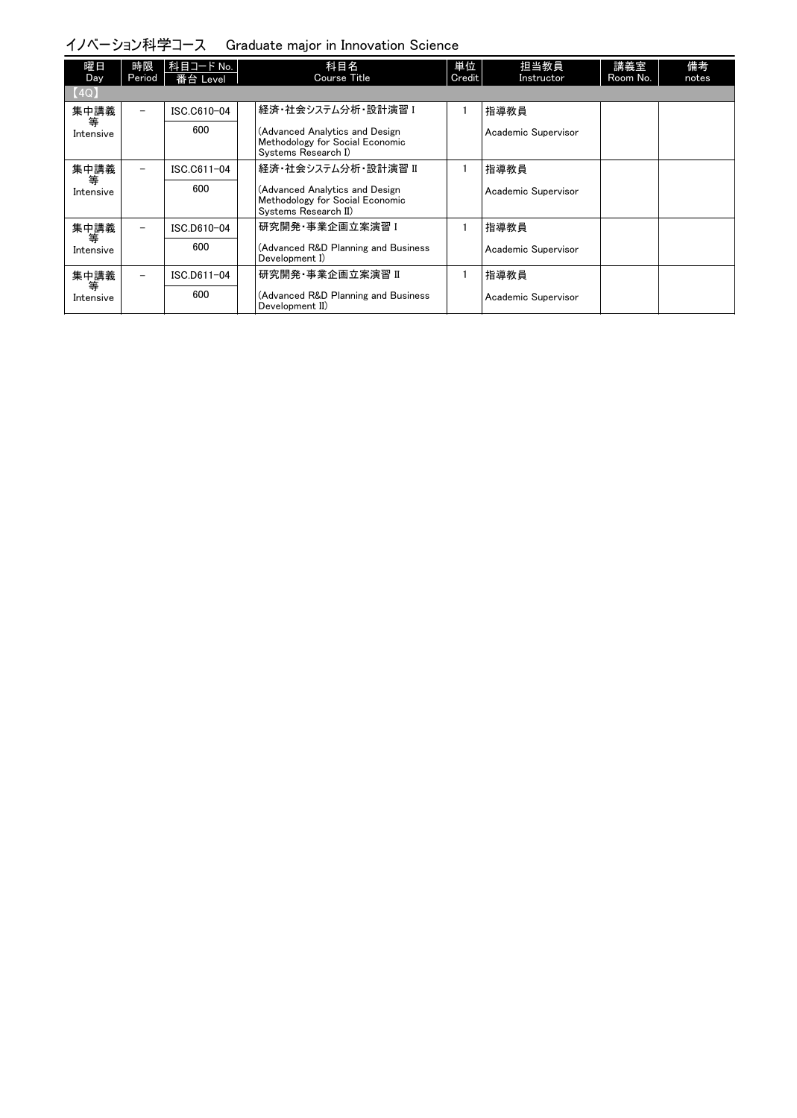イノベーション科学コース Graduate major in Innovation Science

| 曜日<br>Day      | 時限<br>Period             | 科目コード No.  <br>番台 Level | 科目名<br>Course Title                                                                       | 単位<br>Credit | 担当教員<br>Instructor  | 講義室<br>Room No. | 備考<br>notes |
|----------------|--------------------------|-------------------------|-------------------------------------------------------------------------------------------|--------------|---------------------|-----------------|-------------|
| [4Q]           |                          |                         |                                                                                           |              |                     |                 |             |
| 集中講義           | $\overline{\phantom{0}}$ | ISC.C610-04             | 経済·社会システム分析·設計演習 I                                                                        |              | 指導教員                |                 |             |
| 等<br>Intensive |                          | 600                     | (Advanced Analytics and Design<br>Methodology for Social Economic<br>Systems Research I)  |              | Academic Supervisor |                 |             |
| 集中講義           | $\overline{\phantom{0}}$ | ISC.C611-04             | 経済・社会システム分析・設計演習 Ⅱ                                                                        |              | 指導教員                |                 |             |
| 等<br>Intensive |                          | 600                     | (Advanced Analytics and Design<br>Methodology for Social Economic<br>Systems Research II) |              | Academic Supervisor |                 |             |
| 集中講義           | $\overline{\phantom{0}}$ | ISC.D610-04             | 研究開発・事業企画立案演習 I                                                                           |              | 指導教員                |                 |             |
| 等<br>Intensive |                          | 600                     | (Advanced R&D Planning and Business<br>Development I)                                     |              | Academic Supervisor |                 |             |
| 集中講義           | $\overline{\phantom{0}}$ | ISC.D611-04             | 研究開発·事業企画立案演習 II                                                                          |              | 指導教員                |                 |             |
| 等<br>Intensive |                          | 600                     | (Advanced R&D Planning and Business<br>Development II)                                    |              | Academic Supervisor |                 |             |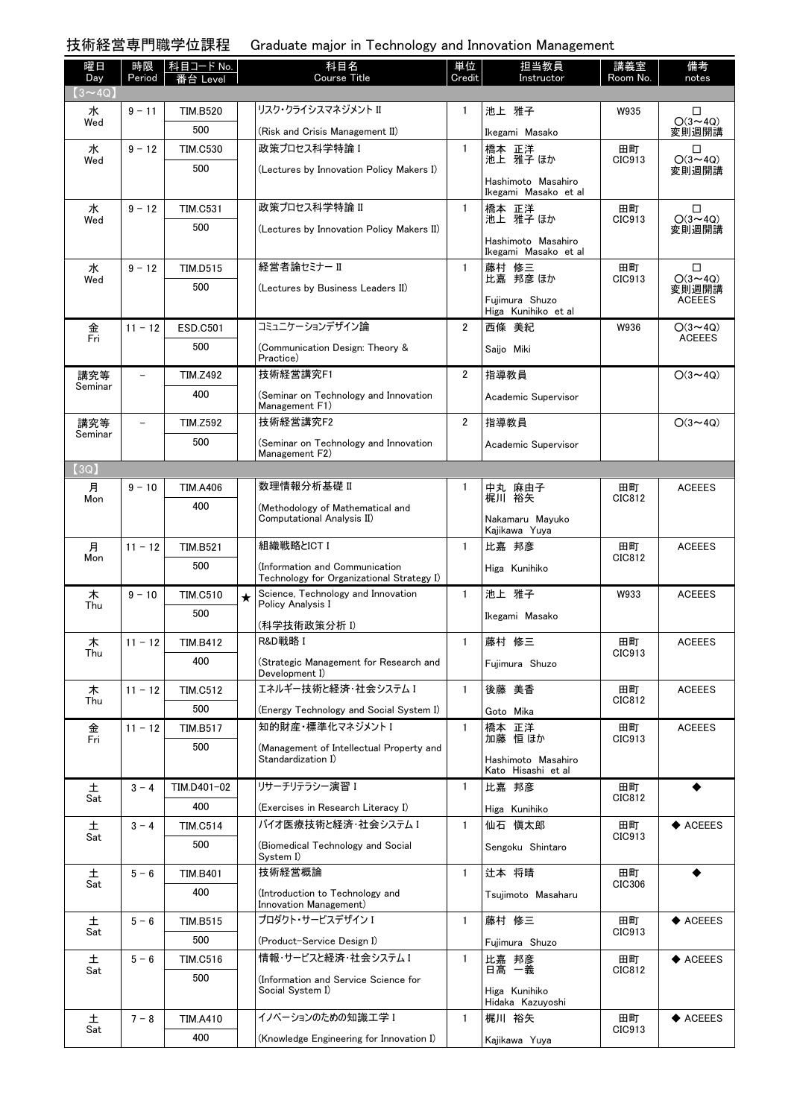技術経営専門職学位課程 Graduate major in Technology and Innovation Management

| 曜日<br>Day      | 時限<br>Period             | │科目コード No. │<br>番台 Level |         | 科目名<br><b>Course Title</b>                                | 単位<br>Credit   | 担当教員<br>Instructor                         | 講義室<br>Room No. | 備考<br>notes             |
|----------------|--------------------------|--------------------------|---------|-----------------------------------------------------------|----------------|--------------------------------------------|-----------------|-------------------------|
| $(3 \sim 4Q)$  |                          |                          |         |                                                           |                |                                            |                 |                         |
| 水              | $9 - 11$                 | <b>TIM.B520</b>          |         | リスク・クライシスマネジメント II                                        | 1              | 池上 雅子                                      | W935            | □                       |
| Wed            |                          | 500                      |         | (Risk and Crisis Management II)                           |                | Ikegami Masako                             |                 | $O(3 \sim 4Q)$<br>変則週開講 |
| 水              | $9 - 12$                 | <b>TIM.C530</b>          |         | 政策プロセス科学特論 I                                              | $\mathbf{1}$   | 橋本 正洋<br>池上 雅子ほか                           | 田町<br>CIC913    | □                       |
| Wed            |                          | 500                      |         | (Lectures by Innovation Policy Makers I)                  |                |                                            |                 | $O(3 \sim 4Q)$<br>変則週開講 |
|                |                          |                          |         |                                                           |                | Hashimoto Masahiro<br>Ikegami Masako et al |                 |                         |
| 水              | $9 - 12$                 | <b>TIM.C531</b>          |         | 政策プロセス科学特論 II                                             | $\mathbf{1}$   | 橋本 正洋<br>池上 雅子ほか                           | 田町<br>CIC913    | □<br>$O(3 \sim 4Q)$     |
| Wed            |                          | 500                      |         | (Lectures by Innovation Policy Makers II)                 |                |                                            |                 | 変則週開講                   |
|                |                          |                          |         |                                                           |                | Hashimoto Masahiro<br>Ikegami Masako et al |                 |                         |
| 水              | $9 - 12$                 | <b>TIM.D515</b>          |         | 経営者論セミナー II                                               | $\mathbf{1}$   | 藤村 修三<br>比嘉 邦彦 ほか                          | 田町              | □                       |
| Wed            |                          | 500                      |         | (Lectures by Business Leaders II)                         |                |                                            | CIC913          | $O(3 \sim 4Q)$<br>変則週開講 |
|                |                          |                          |         |                                                           |                | Fuiimura Shuzo<br>Higa Kunihiko et al      |                 | <b>ACEEES</b>           |
| 金              | $11 - 12$                | ESD.C501                 |         | コミュニケーションデザイン論                                            | $\overline{2}$ | 西條 美紀                                      | W936            | $O(3 \sim 4Q)$          |
| Fri            |                          | 500                      |         | (Communication Design: Theory &                           |                | Saijo Miki                                 |                 | <b>ACEEES</b>           |
| 講究等            | -                        | <b>TIM.Z492</b>          |         | Practice)<br>技術経営講究F1                                     | $\overline{2}$ | 指導教員                                       |                 | $O(3 \sim 4Q)$          |
| Seminar        |                          | 400                      |         |                                                           |                |                                            |                 |                         |
|                |                          |                          |         | (Seminar on Technology and Innovation<br>Management F1)   |                | Academic Supervisor                        |                 |                         |
| 講究等<br>Seminar | $\overline{\phantom{0}}$ | <b>TIM.Z592</b>          |         | 技術経営講究F2                                                  | $\overline{2}$ | 指導教員                                       |                 | $O(3 \sim 4Q)$          |
|                |                          | 500                      |         | (Seminar on Technology and Innovation<br>Management F2)   |                | Academic Supervisor                        |                 |                         |
| (3Q)           |                          |                          |         |                                                           |                |                                            |                 |                         |
| 月              | $9 - 10$                 | <b>TIM.A406</b>          |         | 数理情報分析基礎 II                                               | 1              | 中丸 麻由子                                     | 田町              | <b>ACEEES</b>           |
| Mon            |                          | 400                      |         | (Methodology of Mathematical and                          |                | 梶川 裕矢                                      | CIC812          |                         |
|                |                          |                          |         | Computational Analysis II)                                |                | Nakamaru Mayuko<br>Kajikawa Yuya           |                 |                         |
| 月              | $11 - 12$                | <b>TIM.B521</b>          |         | 組織戦略とICT I                                                | $\mathbf{1}$   | 比嘉 邦彦                                      | 田町              | <b>ACEEES</b>           |
| Mon            |                          | 500                      |         | (Information and Communication                            |                | Higa Kunihiko                              | CIC812          |                         |
|                |                          |                          |         | Technology for Organizational Strategy I)                 | $\mathbf{1}$   |                                            |                 |                         |
| 木<br>Thu       | $9 - 10$                 | <b>TIM.C510</b><br>500   | $\star$ | Science, Technology and Innovation<br>Policy Analysis I   |                | 池上 雅子                                      | W933            | <b>ACEEES</b>           |
|                |                          |                          |         | (科学技術政策分析 Ⅰ)                                              |                | Ikegami Masako                             |                 |                         |
| 木<br>Thu       | $11 - 12$                | <b>TIM.B412</b>          |         | R&D戦略 I                                                   | $\mathbf{1}$   | 藤村 修三                                      | 田町<br>CIC913    | <b>ACEEES</b>           |
|                |                          | 400                      |         | (Strategic Management for Research and<br>Development I)  |                | Fujimura Shuzo                             |                 |                         |
| 木              | $11 - 12$                | <b>TIM.C512</b>          |         | エネルギー技術と経済・社会システム I                                       | $\mathbf{1}$   | 後藤 美香                                      | 田町              | <b>ACEEES</b>           |
| Thu            |                          | 500                      |         | (Energy Technology and Social System I)                   |                | Goto Mika                                  | CIC812          |                         |
| 金              | $11 - 12$                | <b>TIM.B517</b>          |         | 知的財産・標準化マネジメント I                                          | $\mathbf{1}$   | 橋本 正洋                                      | 田町              | <b>ACEEES</b>           |
| Fri            |                          | 500                      |         | (Management of Intellectual Property and                  |                | 加藤 恒 ほか                                    | CIC913          |                         |
|                |                          |                          |         | Standardization I)                                        |                | Hashimoto Masahiro<br>Kato Hisashi et al   |                 |                         |
| 土              | $3 - 4$                  | TIM.D401-02              |         | リサーチリテラシー演習 I                                             | 1              | 比嘉 邦彦                                      | 田町              |                         |
| Sat            |                          | 400                      |         | (Exercises in Research Literacy I)                        |                | Higa Kunihiko                              | CIC812          |                         |
| 土              | $3 - 4$                  | <b>TIM.C514</b>          |         | バイオ医療技術と経済・社会システム I                                       | $\mathbf{1}$   | 仙石 愼太郎                                     | 田町              | $\blacklozenge$ ACEEES  |
| Sat            |                          | 500                      |         | (Biomedical Technology and Social                         |                | Sengoku Shintaro                           | CIC913          |                         |
|                |                          |                          |         | System I)<br>技術経営概論                                       | $\mathbf{1}$   |                                            |                 |                         |
| 土<br>Sat       | $5 - 6$                  | <b>TIM.B401</b>          |         |                                                           |                | 辻本 将晴                                      | 田町<br>CIC306    |                         |
|                |                          | 400                      |         | (Introduction to Technology and<br>Innovation Management) |                | Tsujimoto Masaharu                         |                 |                         |
| 土              | $5 - 6$                  | <b>TIM.B515</b>          |         | プロダクト・サービスデザイン I                                          | $\mathbf{1}$   | 藤村 修三                                      | 田町              | $\blacklozenge$ ACEEES  |
| Sat            |                          | 500                      |         | (Product-Service Design I)                                |                | Fujimura Shuzo                             | CIC913          |                         |
| 土              | $5 - 6$                  | TIM.C516                 |         | 情報・サービスと経済・社会システム I                                       | $\mathbf{1}$   | 比嘉 邦彦<br>日髙 一義                             | 田町<br>CIC812    | $\blacklozenge$ ACEEES  |
| Sat            |                          | 500                      |         | Information and Service Science for                       |                |                                            |                 |                         |
|                |                          |                          |         | Social System I)                                          |                | Higa Kunihiko<br>Hidaka Kazuyoshi          |                 |                         |
| 土              | $7 - 8$                  | <b>TIM.A410</b>          |         | イノベーションのための知識工学 I                                         | $\mathbf{1}$   | 梶川 裕矢                                      | 田町              | $\blacklozenge$ ACEEES  |
| Sat            |                          | 400                      |         | (Knowledge Engineering for Innovation I)                  |                | Kajikawa Yuya                              | CIC913          |                         |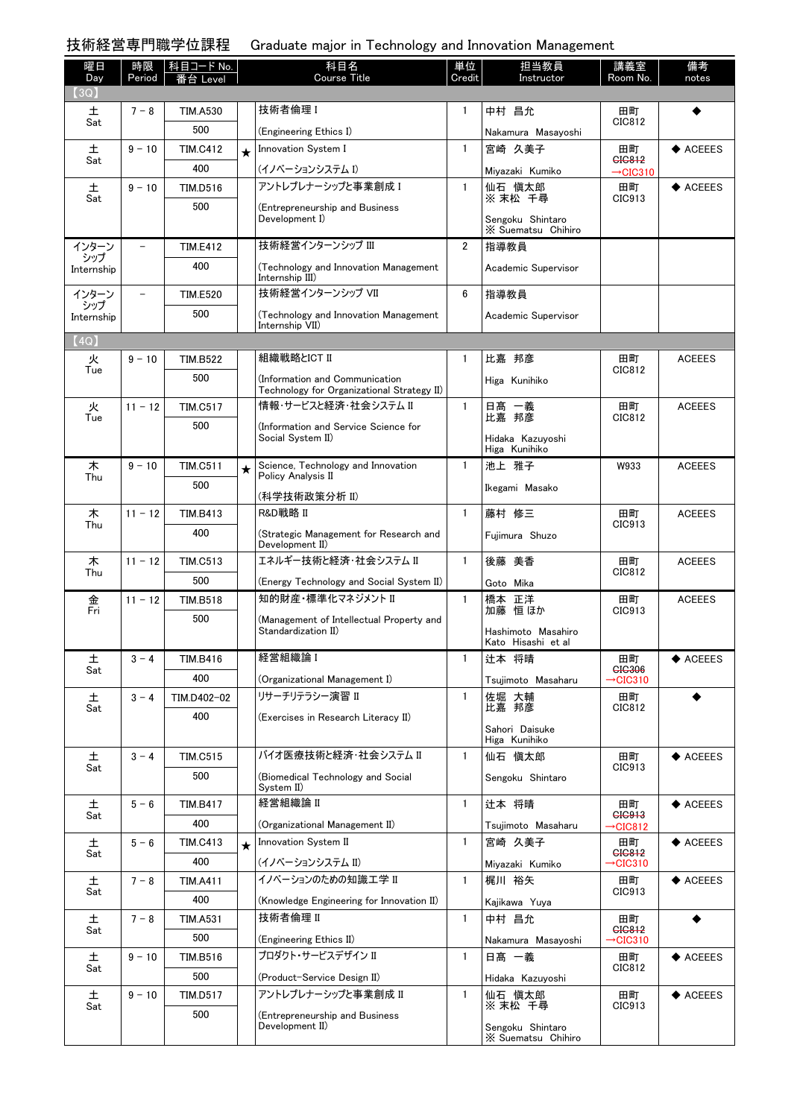技術経営専門職学位課程 Graduate major in Technology and Innovation Management

| 曜日<br>Day         | 時限<br>Period | │科目コード No.<br>番台 Level |         | 科目名<br><b>Course Title</b>                                | 単位<br>Credit | 担当教員<br>Instructor                       | 講義室<br>Room No.                | 備考<br>notes            |
|-------------------|--------------|------------------------|---------|-----------------------------------------------------------|--------------|------------------------------------------|--------------------------------|------------------------|
| (3Q)              |              |                        |         |                                                           |              |                                          |                                |                        |
| 土<br>Sat          | $7 - 8$      | <b>TIM.A530</b>        |         | 技術者倫理 I                                                   | $\mathbf{1}$ | 中村 昌允                                    | 田町<br>CIC812                   |                        |
|                   |              | 500                    |         | (Engineering Ethics I)                                    |              | Nakamura Masayoshi                       |                                |                        |
| 土<br>Sat          | $9 - 10$     | <b>TIM.C412</b>        | $\star$ | Innovation System I                                       | $\mathbf{1}$ | 宮崎 久美子                                   | 田町<br>GIG812                   | ◆ ACEEES               |
|                   |              | 400                    |         | (イノベーションシステム I)                                           |              | Miyazaki Kumiko                          | $\rightarrow$ CIC310           |                        |
| 土<br>Sat          | $9 - 10$     | TIM.D516               |         | アントレプレナーシップと事業創成 I                                        | $\mathbf{1}$ | 仙石 慎太郎<br>※ 末松 千尋                        | 田町<br>CIC913                   | $\blacklozenge$ ACEEES |
|                   |              | 500                    |         | (Entrepreneurship and Business<br>Development I)          |              | Sengoku Shintaro<br>X Suematsu Chihiro   |                                |                        |
| インターン             |              | <b>TIM.E412</b>        |         | 技術経営インターンシップ III                                          | $\mathbf{2}$ | 指導教員                                     |                                |                        |
| シップ<br>Internship |              | 400                    |         | (Technology and Innovation Management<br>Internship III)  |              | Academic Supervisor                      |                                |                        |
| インターン             |              | <b>TIM.E520</b>        |         | 技術経営インターンシップ VII                                          | 6            | 指導教員                                     |                                |                        |
| シップ<br>Internship |              | 500                    |         | (Technology and Innovation Management                     |              | Academic Supervisor                      |                                |                        |
| (4Q)              |              |                        |         | Internship VII)                                           |              |                                          |                                |                        |
| 火                 | $9 - 10$     | <b>TIM.B522</b>        |         | 組織戦略とICT II                                               | $\mathbf{1}$ | 比嘉 邦彦                                    | 田町                             | <b>ACEEES</b>          |
| Tue               |              | 500                    |         | (Information and Communication                            |              | Higa Kunihiko                            | CIC812                         |                        |
|                   |              |                        |         | Technology for Organizational Strategy II)                |              |                                          |                                |                        |
| 火<br>Tue          | $11 - 12$    | <b>TIM.C517</b>        |         | 情報・サービスと経済・社会システム II                                      | $\mathbf{1}$ | 日髙 一義<br>比嘉 邦彦                           | 田町<br>CIC812                   | <b>ACEEES</b>          |
|                   |              | 500                    |         | (Information and Service Science for                      |              |                                          |                                |                        |
|                   |              |                        |         | Social System II)                                         |              | Hidaka Kazuyoshi<br>Higa Kunihiko        |                                |                        |
| 木                 | $9 - 10$     | <b>TIM.C511</b>        | $\star$ | Science, Technology and Innovation                        | $\mathbf{1}$ | 池上 雅子                                    | W933                           | <b>ACEEES</b>          |
| Thu               |              | 500                    |         | Policy Analysis II                                        |              | Ikegami Masako                           |                                |                        |
|                   |              |                        |         | (科学技術政策分析 II)                                             |              |                                          |                                |                        |
| 木<br>Thu          | $11 - 12$    | <b>TIM.B413</b>        |         | R&D戦略 II                                                  | $\mathbf{1}$ | 藤村 修三                                    | 田町<br>CIC913                   | <b>ACEEES</b>          |
|                   |              | 400                    |         | (Strategic Management for Research and<br>Development II) |              | Fujimura Shuzo                           |                                |                        |
| 木                 | $11 - 12$    | <b>TIM.C513</b>        |         | エネルギー技術と経済・社会システム II                                      | $\mathbf{1}$ | 後藤 美香                                    | 田町                             | <b>ACEEES</b>          |
| Thu               |              | 500                    |         | (Energy Technology and Social System II)                  |              | Goto Mika                                | CIC812                         |                        |
| 金<br>Fri          | $11 - 12$    | <b>TIM.B518</b>        |         | 知的財産・標準化マネジメント II                                         | $\mathbf{1}$ | 橋本 正洋                                    | 田町                             | <b>ACEEES</b>          |
|                   |              | 500                    |         | (Management of Intellectual Property and                  |              | 加藤恒ほか                                    | CIC913                         |                        |
|                   |              |                        |         | Standardization II)                                       |              | Hashimoto Masahiro<br>Kato Hisashi et al |                                |                        |
| 土                 | $3 - 4$      | TIM.B416               |         | 経営組織論 I                                                   | $\mathbf{1}$ | 辻本 将晴                                    | 田町                             | $\blacklozenge$ ACEEES |
| Sat               |              | 400                    |         | (Organizational Management I)                             |              | Tsujimoto Masaharu                       | <b>GIG306</b><br>→CIC310       |                        |
| 土                 | $3 - 4$      | TIM.D402-02            |         | リサーチリテラシー演習 II                                            | $\mathbf{1}$ | 佐堀 大輔                                    | 田町                             |                        |
| Sat               |              | 400                    |         | (Exercises in Research Literacy II)                       |              | 比嘉 邦彦                                    | CIC812                         |                        |
|                   |              |                        |         |                                                           |              | Sahori Daisuke                           |                                |                        |
| 土                 | $3 - 4$      | <b>TIM.C515</b>        |         | バイオ医療技術と経済・社会システム II                                      | $\mathbf{1}$ | Higa Kunihiko<br>仙石 慎太郎                  | 田町                             | $\blacklozenge$ ACEEES |
| Sat               |              | 500                    |         | (Biomedical Technology and Social                         |              |                                          | CIC913                         |                        |
|                   |              |                        |         | System II)                                                |              | Sengoku Shintaro                         |                                |                        |
| 土                 | $5 - 6$      | <b>TIM.B417</b>        |         | 経営組織論 II                                                  | $\mathbf{1}$ | 辻本 将晴                                    | 田町<br><b>GIG913</b>            | $\blacklozenge$ ACEEES |
| Sat               |              | 400                    |         | (Organizational Management II)                            |              | Tsujimoto Masaharu                       | $\rightarrow$ CIC812           |                        |
| 土                 | $5 - 6$      | <b>TIM.C413</b>        | $\star$ | Innovation System II                                      | $\mathbf{1}$ | 宮崎 久美子                                   | 田町                             | $\blacklozenge$ ACEEES |
| Sat               |              | 400                    |         | (イノベーションシステム II)                                          |              | Miyazaki Kumiko                          | GIG812<br>→CIC310              |                        |
| 土                 | $7 - 8$      | <b>TIM.A411</b>        |         | イノベーションのための知識工学 II                                        | $\mathbf{1}$ | 梶川 裕矢                                    | 田町                             | $\blacklozenge$ ACEEES |
| Sat               |              | 400                    |         | (Knowledge Engineering for Innovation II)                 |              | Kajikawa Yuya                            | CIC913                         |                        |
| 土                 | $7 - 8$      | <b>TIM.A531</b>        |         | 技術者倫理 II                                                  | $\mathbf{1}$ | 中村 昌允                                    | 田町                             |                        |
| Sat               |              | 500                    |         | (Engineering Ethics II)                                   |              | Nakamura Masayoshi                       | CIC812<br>$\rightarrow$ CIC310 |                        |
| 土                 | $9 - 10$     | TIM.B516               |         | プロダクト・サービスデザイン II                                         | $\mathbf{1}$ | 日髙 一義                                    | 田町                             | $\blacklozenge$ ACEEES |
| Sat               |              | 500                    |         | (Product-Service Design II)                               |              | Hidaka Kazuyoshi                         | CIC812                         |                        |
| 土                 | $9 - 10$     | <b>TIM.D517</b>        |         | アントレプレナーシップと事業創成 II                                       | $\mathbf{1}$ | 仙石 慎太郎                                   | 田町                             | $\blacklozenge$ ACEEES |
| Sat               |              | 500                    |         | (Entrepreneurship and Business                            |              | ※ 末松 千尋                                  | CIC913                         |                        |
|                   |              |                        |         | Development II)                                           |              | Sengoku Shintaro<br>X Suematsu Chihiro   |                                |                        |